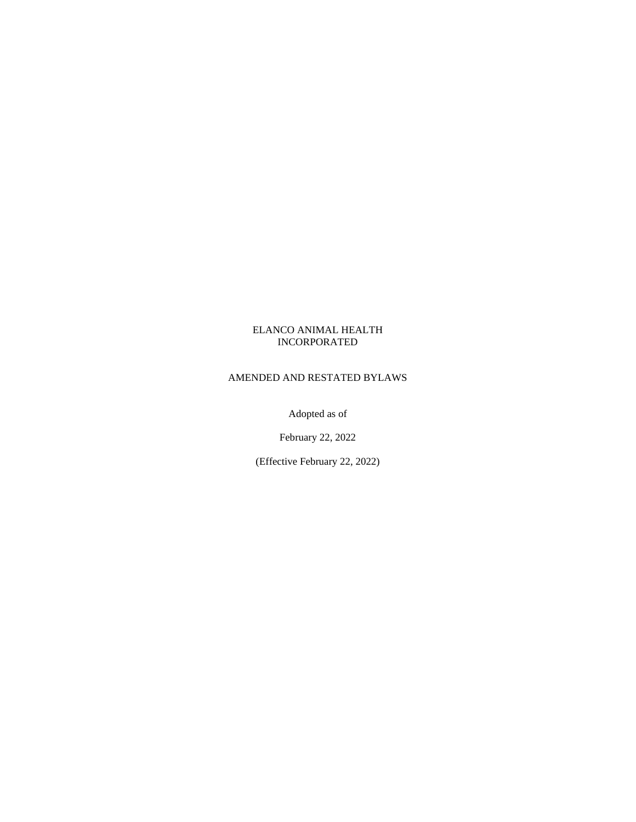## ELANCO ANIMAL HEALTH INCORPORATED

## AMENDED AND RESTATED BYLAWS

Adopted as of

February 22, 2022

(Effective February 22, 2022)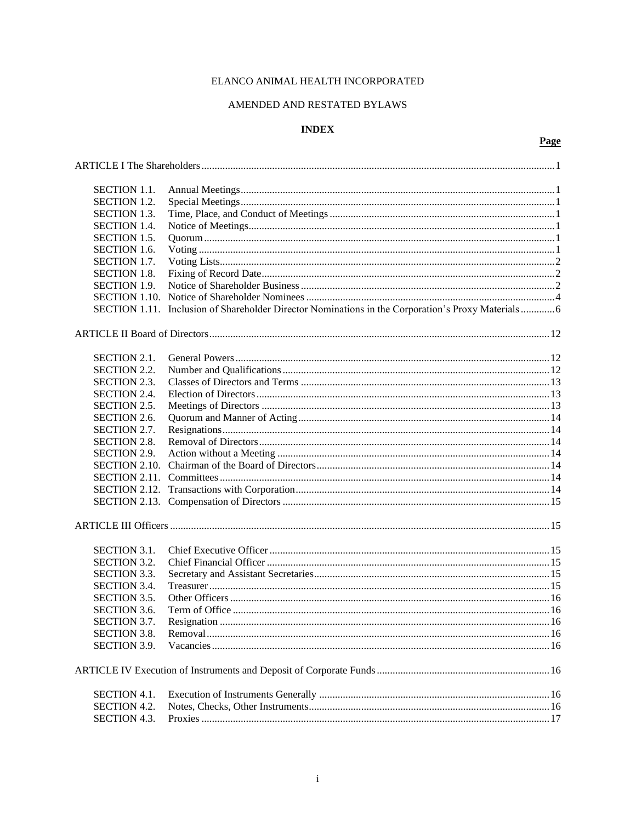# ELANCO ANIMAL HEALTH INCORPORATED

## AMENDED AND RESTATED BYLAWS

# **INDEX**

| <b>SECTION 1.1.</b>  |                                                                                      |  |  |  |
|----------------------|--------------------------------------------------------------------------------------|--|--|--|
| <b>SECTION 1.2.</b>  |                                                                                      |  |  |  |
| <b>SECTION 1.3.</b>  |                                                                                      |  |  |  |
| <b>SECTION 1.4.</b>  |                                                                                      |  |  |  |
| <b>SECTION 1.5.</b>  |                                                                                      |  |  |  |
| <b>SECTION 1.6.</b>  |                                                                                      |  |  |  |
| SECTION 1.7.         |                                                                                      |  |  |  |
| <b>SECTION 1.8.</b>  |                                                                                      |  |  |  |
| <b>SECTION 1.9.</b>  |                                                                                      |  |  |  |
| <b>SECTION 1.10.</b> |                                                                                      |  |  |  |
|                      |                                                                                      |  |  |  |
| <b>SECTION 1.11.</b> | Inclusion of Shareholder Director Nominations in the Corporation's Proxy Materials 6 |  |  |  |
|                      |                                                                                      |  |  |  |
| <b>SECTION 2.1.</b>  |                                                                                      |  |  |  |
| <b>SECTION 2.2.</b>  |                                                                                      |  |  |  |
| <b>SECTION 2.3.</b>  |                                                                                      |  |  |  |
| <b>SECTION 2.4.</b>  |                                                                                      |  |  |  |
| <b>SECTION 2.5.</b>  |                                                                                      |  |  |  |
| <b>SECTION 2.6.</b>  |                                                                                      |  |  |  |
| SECTION 2.7.         |                                                                                      |  |  |  |
| <b>SECTION 2.8.</b>  |                                                                                      |  |  |  |
| <b>SECTION 2.9.</b>  |                                                                                      |  |  |  |
| <b>SECTION 2.10.</b> |                                                                                      |  |  |  |
|                      |                                                                                      |  |  |  |
|                      |                                                                                      |  |  |  |
|                      |                                                                                      |  |  |  |
|                      |                                                                                      |  |  |  |
|                      |                                                                                      |  |  |  |
| <b>SECTION 3.1.</b>  |                                                                                      |  |  |  |
| <b>SECTION 3.2.</b>  |                                                                                      |  |  |  |
| SECTION 3.3.         |                                                                                      |  |  |  |
| <b>SECTION 3.4.</b>  |                                                                                      |  |  |  |
| <b>SECTION 3.5.</b>  |                                                                                      |  |  |  |
| <b>SECTION 3.6.</b>  |                                                                                      |  |  |  |
| SECTION 3.7.         |                                                                                      |  |  |  |
| <b>SECTION 3.8.</b>  |                                                                                      |  |  |  |
| <b>SECTION 3.9.</b>  |                                                                                      |  |  |  |
|                      |                                                                                      |  |  |  |
|                      |                                                                                      |  |  |  |
| <b>SECTION 4.1.</b>  |                                                                                      |  |  |  |
| <b>SECTION 4.2.</b>  |                                                                                      |  |  |  |
| <b>SECTION 4.3.</b>  |                                                                                      |  |  |  |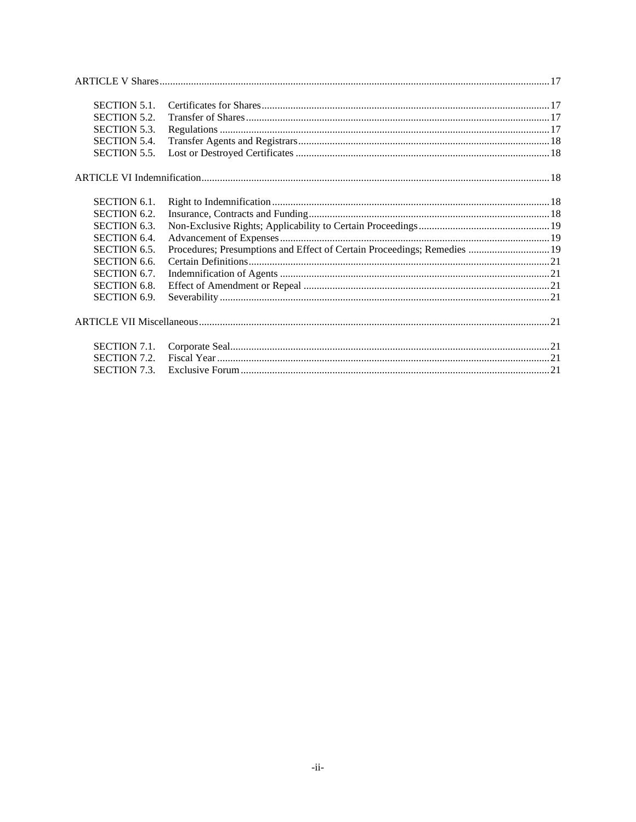| <b>SECTION 5.1.</b> |                                                                          |  |
|---------------------|--------------------------------------------------------------------------|--|
| <b>SECTION 5.2.</b> |                                                                          |  |
| <b>SECTION 5.3.</b> |                                                                          |  |
| <b>SECTION 5.4.</b> |                                                                          |  |
| <b>SECTION 5.5.</b> |                                                                          |  |
|                     |                                                                          |  |
| <b>SECTION 6.1.</b> |                                                                          |  |
| <b>SECTION 6.2.</b> |                                                                          |  |
| <b>SECTION 6.3.</b> |                                                                          |  |
| <b>SECTION 6.4.</b> |                                                                          |  |
| SECTION 6.5.        | Procedures; Presumptions and Effect of Certain Proceedings; Remedies  19 |  |
| <b>SECTION 6.6.</b> |                                                                          |  |
| SECTION 6.7.        |                                                                          |  |
| <b>SECTION 6.8.</b> |                                                                          |  |
| <b>SECTION 6.9.</b> |                                                                          |  |
|                     |                                                                          |  |
| <b>SECTION 7.1.</b> |                                                                          |  |
| <b>SECTION 7.2.</b> |                                                                          |  |
| <b>SECTION 7.3.</b> |                                                                          |  |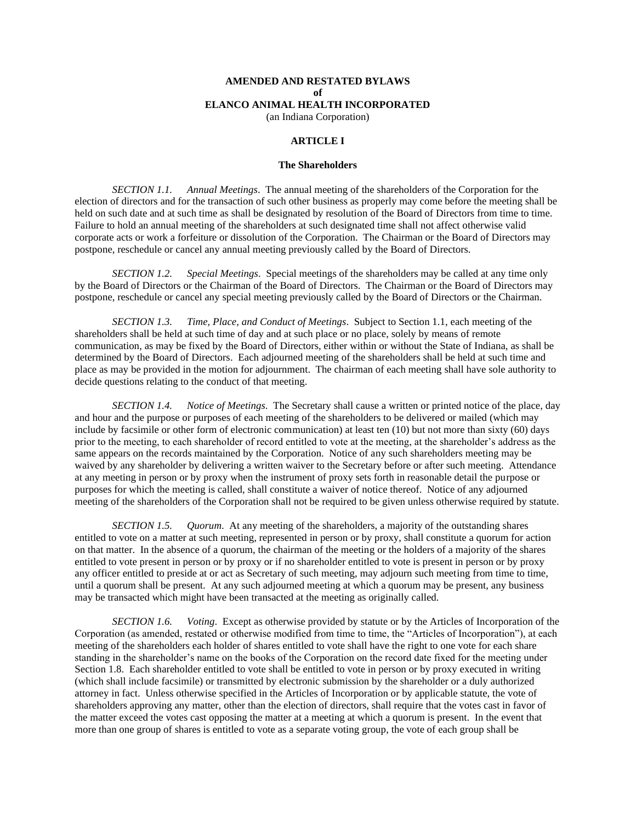## **AMENDED AND RESTATED BYLAWS of ELANCO ANIMAL HEALTH INCORPORATED**

(an Indiana Corporation)

## **ARTICLE I**

### **The Shareholders**

<span id="page-3-1"></span><span id="page-3-0"></span>*SECTION 1.1. Annual Meetings*. The annual meeting of the shareholders of the Corporation for the election of directors and for the transaction of such other business as properly may come before the meeting shall be held on such date and at such time as shall be designated by resolution of the Board of Directors from time to time. Failure to hold an annual meeting of the shareholders at such designated time shall not affect otherwise valid corporate acts or work a forfeiture or dissolution of the Corporation. The Chairman or the Board of Directors may postpone, reschedule or cancel any annual meeting previously called by the Board of Directors.

<span id="page-3-2"></span>*SECTION 1.2. Special Meetings*. Special meetings of the shareholders may be called at any time only by the Board of Directors or the Chairman of the Board of Directors. The Chairman or the Board of Directors may postpone, reschedule or cancel any special meeting previously called by the Board of Directors or the Chairman.

<span id="page-3-3"></span>*SECTION 1.3. Time, Place, and Conduct of Meetings*. Subject to Section 1.1, each meeting of the shareholders shall be held at such time of day and at such place or no place, solely by means of remote communication, as may be fixed by the Board of Directors, either within or without the State of Indiana, as shall be determined by the Board of Directors. Each adjourned meeting of the shareholders shall be held at such time and place as may be provided in the motion for adjournment. The chairman of each meeting shall have sole authority to decide questions relating to the conduct of that meeting.

<span id="page-3-4"></span>*SECTION 1.4. Notice of Meetings*. The Secretary shall cause a written or printed notice of the place, day and hour and the purpose or purposes of each meeting of the shareholders to be delivered or mailed (which may include by facsimile or other form of electronic communication) at least ten (10) but not more than sixty (60) days prior to the meeting, to each shareholder of record entitled to vote at the meeting, at the shareholder's address as the same appears on the records maintained by the Corporation. Notice of any such shareholders meeting may be waived by any shareholder by delivering a written waiver to the Secretary before or after such meeting. Attendance at any meeting in person or by proxy when the instrument of proxy sets forth in reasonable detail the purpose or purposes for which the meeting is called, shall constitute a waiver of notice thereof. Notice of any adjourned meeting of the shareholders of the Corporation shall not be required to be given unless otherwise required by statute.

<span id="page-3-5"></span>*SECTION 1.5. Quorum*. At any meeting of the shareholders, a majority of the outstanding shares entitled to vote on a matter at such meeting, represented in person or by proxy, shall constitute a quorum for action on that matter. In the absence of a quorum, the chairman of the meeting or the holders of a majority of the shares entitled to vote present in person or by proxy or if no shareholder entitled to vote is present in person or by proxy any officer entitled to preside at or act as Secretary of such meeting, may adjourn such meeting from time to time, until a quorum shall be present. At any such adjourned meeting at which a quorum may be present, any business may be transacted which might have been transacted at the meeting as originally called.

<span id="page-3-6"></span>*SECTION 1.6. Voting*. Except as otherwise provided by statute or by the Articles of Incorporation of the Corporation (as amended, restated or otherwise modified from time to time, the "Articles of Incorporation"), at each meeting of the shareholders each holder of shares entitled to vote shall have the right to one vote for each share standing in the shareholder's name on the books of the Corporation on the record date fixed for the meeting under Section 1.8. Each shareholder entitled to vote shall be entitled to vote in person or by proxy executed in writing (which shall include facsimile) or transmitted by electronic submission by the shareholder or a duly authorized attorney in fact. Unless otherwise specified in the Articles of Incorporation or by applicable statute, the vote of shareholders approving any matter, other than the election of directors, shall require that the votes cast in favor of the matter exceed the votes cast opposing the matter at a meeting at which a quorum is present. In the event that more than one group of shares is entitled to vote as a separate voting group, the vote of each group shall be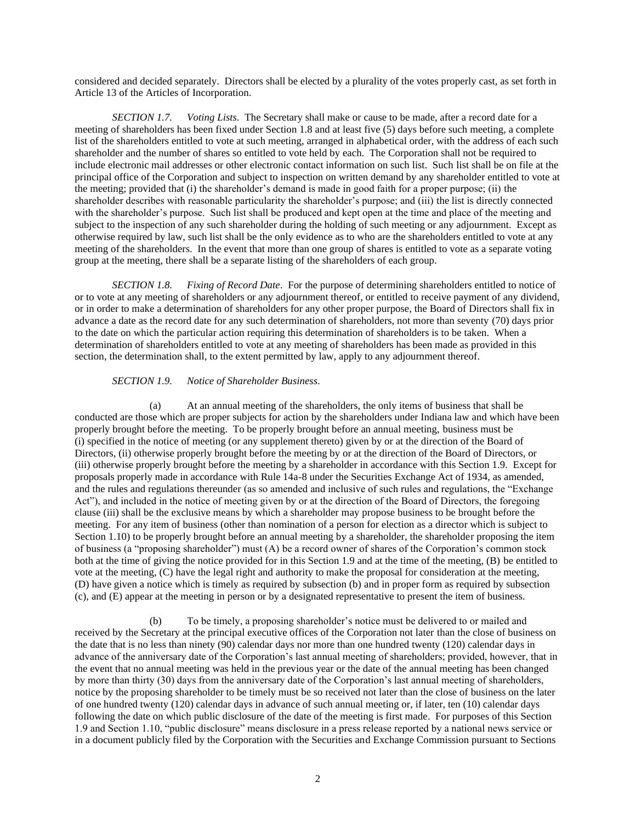considered and decided separately. Directors shall be elected by a plurality of the votes properly cast, as set forth in Article 13 of the Articles of Incorporation.

<span id="page-4-0"></span>*SECTION 1.7. Voting Lists*. The Secretary shall make or cause to be made, after a record date for a meeting of shareholders has been fixed under Section 1.8 and at least five (5) days before such meeting, a complete list of the shareholders entitled to vote at such meeting, arranged in alphabetical order, with the address of each such shareholder and the number of shares so entitled to vote held by each. The Corporation shall not be required to include electronic mail addresses or other electronic contact information on such list. Such list shall be on file at the principal office of the Corporation and subject to inspection on written demand by any shareholder entitled to vote at the meeting; provided that (i) the shareholder's demand is made in good faith for a proper purpose; (ii) the shareholder describes with reasonable particularity the shareholder's purpose; and (iii) the list is directly connected with the shareholder's purpose. Such list shall be produced and kept open at the time and place of the meeting and subject to the inspection of any such shareholder during the holding of such meeting or any adjournment. Except as otherwise required by law, such list shall be the only evidence as to who are the shareholders entitled to vote at any meeting of the shareholders. In the event that more than one group of shares is entitled to vote as a separate voting group at the meeting, there shall be a separate listing of the shareholders of each group.

<span id="page-4-1"></span>*SECTION 1.8. Fixing of Record Date*. For the purpose of determining shareholders entitled to notice of or to vote at any meeting of shareholders or any adjournment thereof, or entitled to receive payment of any dividend, or in order to make a determination of shareholders for any other proper purpose, the Board of Directors shall fix in advance a date as the record date for any such determination of shareholders, not more than seventy (70) days prior to the date on which the particular action requiring this determination of shareholders is to be taken. When a determination of shareholders entitled to vote at any meeting of shareholders has been made as provided in this section, the determination shall, to the extent permitted by law, apply to any adjournment thereof.

### *SECTION 1.9. Notice of Shareholder Business*.

<span id="page-4-2"></span>(a) At an annual meeting of the shareholders, the only items of business that shall be conducted are those which are proper subjects for action by the shareholders under Indiana law and which have been properly brought before the meeting. To be properly brought before an annual meeting, business must be (i) specified in the notice of meeting (or any supplement thereto) given by or at the direction of the Board of Directors, (ii) otherwise properly brought before the meeting by or at the direction of the Board of Directors, or (iii) otherwise properly brought before the meeting by a shareholder in accordance with this Section 1.9. Except for proposals properly made in accordance with Rule 14a-8 under the Securities Exchange Act of 1934, as amended, and the rules and regulations thereunder (as so amended and inclusive of such rules and regulations, the "Exchange Act"), and included in the notice of meeting given by or at the direction of the Board of Directors, the foregoing clause (iii) shall be the exclusive means by which a shareholder may propose business to be brought before the meeting. For any item of business (other than nomination of a person for election as a director which is subject to Section 1.10) to be properly brought before an annual meeting by a shareholder, the shareholder proposing the item of business (a "proposing shareholder") must (A) be a record owner of shares of the Corporation's common stock both at the time of giving the notice provided for in this Section 1.9 and at the time of the meeting, (B) be entitled to vote at the meeting, (C) have the legal right and authority to make the proposal for consideration at the meeting, (D) have given a notice which is timely as required by subsection (b) and in proper form as required by subsection (c), and (E) appear at the meeting in person or by a designated representative to present the item of business.

(b) To be timely, a proposing shareholder's notice must be delivered to or mailed and received by the Secretary at the principal executive offices of the Corporation not later than the close of business on the date that is no less than ninety (90) calendar days nor more than one hundred twenty (120) calendar days in advance of the anniversary date of the Corporation's last annual meeting of shareholders; provided, however, that in the event that no annual meeting was held in the previous year or the date of the annual meeting has been changed by more than thirty (30) days from the anniversary date of the Corporation's last annual meeting of shareholders, notice by the proposing shareholder to be timely must be so received not later than the close of business on the later of one hundred twenty (120) calendar days in advance of such annual meeting or, if later, ten (10) calendar days following the date on which public disclosure of the date of the meeting is first made. For purposes of this Section 1.9 and Section 1.10, "public disclosure" means disclosure in a press release reported by a national news service or in a document publicly filed by the Corporation with the Securities and Exchange Commission pursuant to Sections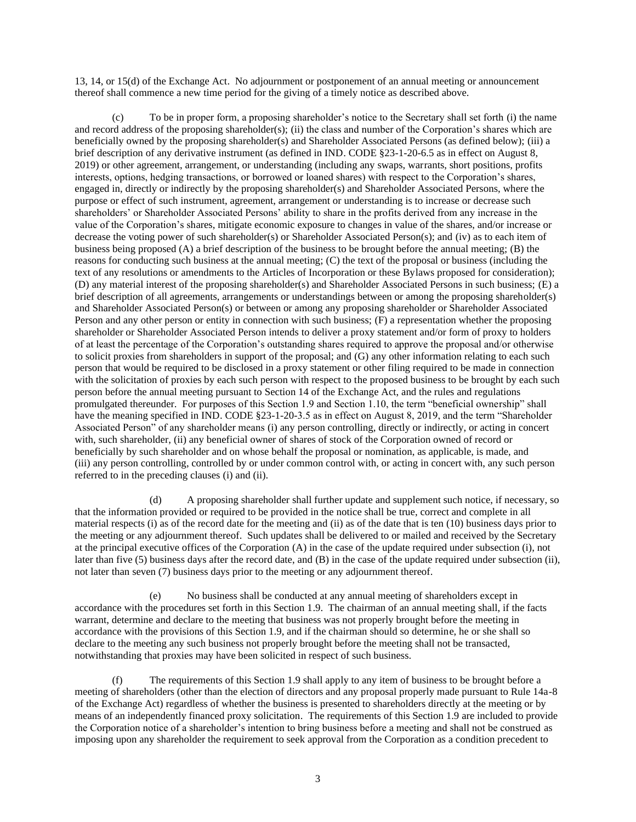13, 14, or 15(d) of the Exchange Act. No adjournment or postponement of an annual meeting or announcement thereof shall commence a new time period for the giving of a timely notice as described above.

(c) To be in proper form, a proposing shareholder's notice to the Secretary shall set forth (i) the name and record address of the proposing shareholder(s); (ii) the class and number of the Corporation's shares which are beneficially owned by the proposing shareholder(s) and Shareholder Associated Persons (as defined below); (iii) a brief description of any derivative instrument (as defined in IND. CODE §23-1-20-6.5 as in effect on August 8, 2019) or other agreement, arrangement, or understanding (including any swaps, warrants, short positions, profits interests, options, hedging transactions, or borrowed or loaned shares) with respect to the Corporation's shares, engaged in, directly or indirectly by the proposing shareholder(s) and Shareholder Associated Persons, where the purpose or effect of such instrument, agreement, arrangement or understanding is to increase or decrease such shareholders' or Shareholder Associated Persons' ability to share in the profits derived from any increase in the value of the Corporation's shares, mitigate economic exposure to changes in value of the shares, and/or increase or decrease the voting power of such shareholder(s) or Shareholder Associated Person(s); and (iv) as to each item of business being proposed (A) a brief description of the business to be brought before the annual meeting; (B) the reasons for conducting such business at the annual meeting; (C) the text of the proposal or business (including the text of any resolutions or amendments to the Articles of Incorporation or these Bylaws proposed for consideration); (D) any material interest of the proposing shareholder(s) and Shareholder Associated Persons in such business; (E) a brief description of all agreements, arrangements or understandings between or among the proposing shareholder(s) and Shareholder Associated Person(s) or between or among any proposing shareholder or Shareholder Associated Person and any other person or entity in connection with such business; (F) a representation whether the proposing shareholder or Shareholder Associated Person intends to deliver a proxy statement and/or form of proxy to holders of at least the percentage of the Corporation's outstanding shares required to approve the proposal and/or otherwise to solicit proxies from shareholders in support of the proposal; and (G) any other information relating to each such person that would be required to be disclosed in a proxy statement or other filing required to be made in connection with the solicitation of proxies by each such person with respect to the proposed business to be brought by each such person before the annual meeting pursuant to Section 14 of the Exchange Act, and the rules and regulations promulgated thereunder. For purposes of this Section 1.9 and Section 1.10, the term "beneficial ownership" shall have the meaning specified in IND. CODE §23-1-20-3.5 as in effect on August 8, 2019, and the term "Shareholder Associated Person" of any shareholder means (i) any person controlling, directly or indirectly, or acting in concert with, such shareholder, (ii) any beneficial owner of shares of stock of the Corporation owned of record or beneficially by such shareholder and on whose behalf the proposal or nomination, as applicable, is made, and (iii) any person controlling, controlled by or under common control with, or acting in concert with, any such person referred to in the preceding clauses (i) and (ii).

(d) A proposing shareholder shall further update and supplement such notice, if necessary, so that the information provided or required to be provided in the notice shall be true, correct and complete in all material respects (i) as of the record date for the meeting and (ii) as of the date that is ten (10) business days prior to the meeting or any adjournment thereof. Such updates shall be delivered to or mailed and received by the Secretary at the principal executive offices of the Corporation (A) in the case of the update required under subsection (i), not later than five (5) business days after the record date, and (B) in the case of the update required under subsection (ii), not later than seven (7) business days prior to the meeting or any adjournment thereof.

(e) No business shall be conducted at any annual meeting of shareholders except in accordance with the procedures set forth in this Section 1.9. The chairman of an annual meeting shall, if the facts warrant, determine and declare to the meeting that business was not properly brought before the meeting in accordance with the provisions of this Section 1.9, and if the chairman should so determine, he or she shall so declare to the meeting any such business not properly brought before the meeting shall not be transacted, notwithstanding that proxies may have been solicited in respect of such business.

(f) The requirements of this Section 1.9 shall apply to any item of business to be brought before a meeting of shareholders (other than the election of directors and any proposal properly made pursuant to Rule 14a-8 of the Exchange Act) regardless of whether the business is presented to shareholders directly at the meeting or by means of an independently financed proxy solicitation. The requirements of this Section 1.9 are included to provide the Corporation notice of a shareholder's intention to bring business before a meeting and shall not be construed as imposing upon any shareholder the requirement to seek approval from the Corporation as a condition precedent to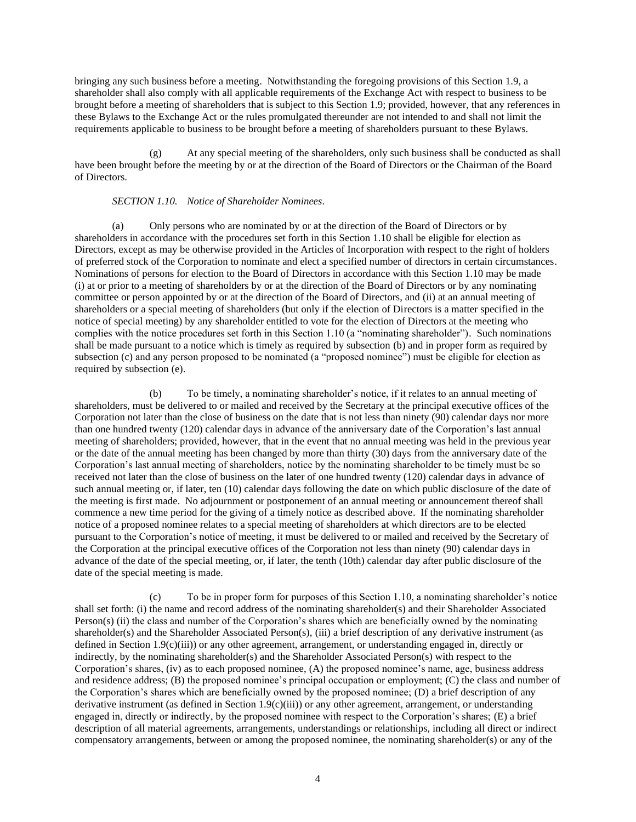bringing any such business before a meeting. Notwithstanding the foregoing provisions of this Section 1.9, a shareholder shall also comply with all applicable requirements of the Exchange Act with respect to business to be brought before a meeting of shareholders that is subject to this Section 1.9; provided, however, that any references in these Bylaws to the Exchange Act or the rules promulgated thereunder are not intended to and shall not limit the requirements applicable to business to be brought before a meeting of shareholders pursuant to these Bylaws.

(g) At any special meeting of the shareholders, only such business shall be conducted as shall have been brought before the meeting by or at the direction of the Board of Directors or the Chairman of the Board of Directors.

### *SECTION 1.10. Notice of Shareholder Nominees*.

<span id="page-6-0"></span>(a) Only persons who are nominated by or at the direction of the Board of Directors or by shareholders in accordance with the procedures set forth in this Section 1.10 shall be eligible for election as Directors, except as may be otherwise provided in the Articles of Incorporation with respect to the right of holders of preferred stock of the Corporation to nominate and elect a specified number of directors in certain circumstances. Nominations of persons for election to the Board of Directors in accordance with this Section 1.10 may be made (i) at or prior to a meeting of shareholders by or at the direction of the Board of Directors or by any nominating committee or person appointed by or at the direction of the Board of Directors, and (ii) at an annual meeting of shareholders or a special meeting of shareholders (but only if the election of Directors is a matter specified in the notice of special meeting) by any shareholder entitled to vote for the election of Directors at the meeting who complies with the notice procedures set forth in this Section 1.10 (a "nominating shareholder"). Such nominations shall be made pursuant to a notice which is timely as required by subsection (b) and in proper form as required by subsection (c) and any person proposed to be nominated (a "proposed nominee") must be eligible for election as required by subsection (e).

(b) To be timely, a nominating shareholder's notice, if it relates to an annual meeting of shareholders, must be delivered to or mailed and received by the Secretary at the principal executive offices of the Corporation not later than the close of business on the date that is not less than ninety (90) calendar days nor more than one hundred twenty (120) calendar days in advance of the anniversary date of the Corporation's last annual meeting of shareholders; provided, however, that in the event that no annual meeting was held in the previous year or the date of the annual meeting has been changed by more than thirty (30) days from the anniversary date of the Corporation's last annual meeting of shareholders, notice by the nominating shareholder to be timely must be so received not later than the close of business on the later of one hundred twenty (120) calendar days in advance of such annual meeting or, if later, ten (10) calendar days following the date on which public disclosure of the date of the meeting is first made. No adjournment or postponement of an annual meeting or announcement thereof shall commence a new time period for the giving of a timely notice as described above. If the nominating shareholder notice of a proposed nominee relates to a special meeting of shareholders at which directors are to be elected pursuant to the Corporation's notice of meeting, it must be delivered to or mailed and received by the Secretary of the Corporation at the principal executive offices of the Corporation not less than ninety (90) calendar days in advance of the date of the special meeting, or, if later, the tenth (10th) calendar day after public disclosure of the date of the special meeting is made.

(c) To be in proper form for purposes of this Section 1.10, a nominating shareholder's notice shall set forth: (i) the name and record address of the nominating shareholder(s) and their Shareholder Associated Person(s) (ii) the class and number of the Corporation's shares which are beneficially owned by the nominating shareholder(s) and the Shareholder Associated Person(s), (iii) a brief description of any derivative instrument (as defined in Section 1.9(c)(iii)) or any other agreement, arrangement, or understanding engaged in, directly or indirectly, by the nominating shareholder(s) and the Shareholder Associated Person(s) with respect to the Corporation's shares, (iv) as to each proposed nominee, (A) the proposed nominee's name, age, business address and residence address; (B) the proposed nominee's principal occupation or employment; (C) the class and number of the Corporation's shares which are beneficially owned by the proposed nominee; (D) a brief description of any derivative instrument (as defined in Section 1.9(c)(iii)) or any other agreement, arrangement, or understanding engaged in, directly or indirectly, by the proposed nominee with respect to the Corporation's shares; (E) a brief description of all material agreements, arrangements, understandings or relationships, including all direct or indirect compensatory arrangements, between or among the proposed nominee, the nominating shareholder(s) or any of the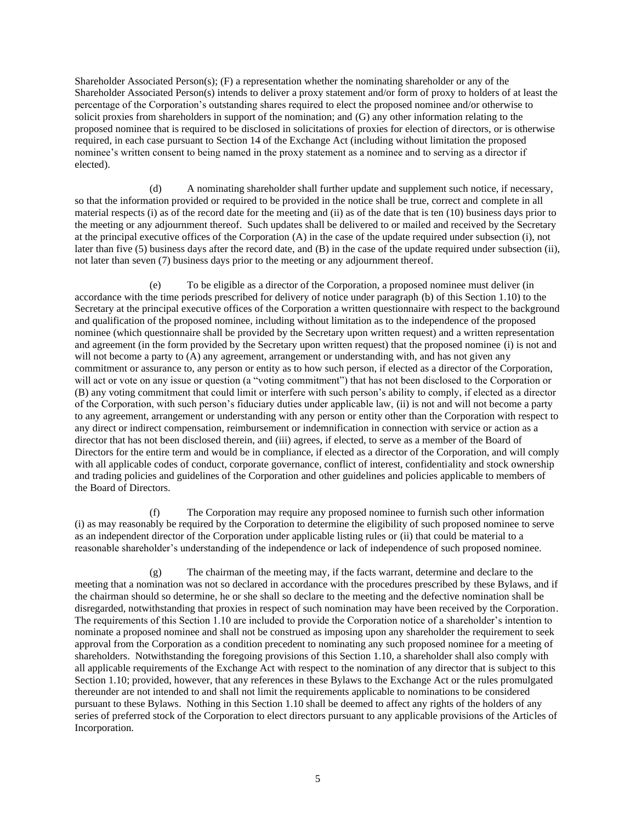Shareholder Associated Person(s); (F) a representation whether the nominating shareholder or any of the Shareholder Associated Person(s) intends to deliver a proxy statement and/or form of proxy to holders of at least the percentage of the Corporation's outstanding shares required to elect the proposed nominee and/or otherwise to solicit proxies from shareholders in support of the nomination; and (G) any other information relating to the proposed nominee that is required to be disclosed in solicitations of proxies for election of directors, or is otherwise required, in each case pursuant to Section 14 of the Exchange Act (including without limitation the proposed nominee's written consent to being named in the proxy statement as a nominee and to serving as a director if elected).

(d) A nominating shareholder shall further update and supplement such notice, if necessary, so that the information provided or required to be provided in the notice shall be true, correct and complete in all material respects (i) as of the record date for the meeting and (ii) as of the date that is ten (10) business days prior to the meeting or any adjournment thereof. Such updates shall be delivered to or mailed and received by the Secretary at the principal executive offices of the Corporation (A) in the case of the update required under subsection (i), not later than five (5) business days after the record date, and (B) in the case of the update required under subsection (ii), not later than seven (7) business days prior to the meeting or any adjournment thereof.

(e) To be eligible as a director of the Corporation, a proposed nominee must deliver (in accordance with the time periods prescribed for delivery of notice under paragraph (b) of this Section 1.10) to the Secretary at the principal executive offices of the Corporation a written questionnaire with respect to the background and qualification of the proposed nominee, including without limitation as to the independence of the proposed nominee (which questionnaire shall be provided by the Secretary upon written request) and a written representation and agreement (in the form provided by the Secretary upon written request) that the proposed nominee (i) is not and will not become a party to (A) any agreement, arrangement or understanding with, and has not given any commitment or assurance to, any person or entity as to how such person, if elected as a director of the Corporation, will act or vote on any issue or question (a "voting commitment") that has not been disclosed to the Corporation or (B) any voting commitment that could limit or interfere with such person's ability to comply, if elected as a director of the Corporation, with such person's fiduciary duties under applicable law, (ii) is not and will not become a party to any agreement, arrangement or understanding with any person or entity other than the Corporation with respect to any direct or indirect compensation, reimbursement or indemnification in connection with service or action as a director that has not been disclosed therein, and (iii) agrees, if elected, to serve as a member of the Board of Directors for the entire term and would be in compliance, if elected as a director of the Corporation, and will comply with all applicable codes of conduct, corporate governance, conflict of interest, confidentiality and stock ownership and trading policies and guidelines of the Corporation and other guidelines and policies applicable to members of the Board of Directors.

(f) The Corporation may require any proposed nominee to furnish such other information (i) as may reasonably be required by the Corporation to determine the eligibility of such proposed nominee to serve as an independent director of the Corporation under applicable listing rules or (ii) that could be material to a reasonable shareholder's understanding of the independence or lack of independence of such proposed nominee.

(g) The chairman of the meeting may, if the facts warrant, determine and declare to the meeting that a nomination was not so declared in accordance with the procedures prescribed by these Bylaws, and if the chairman should so determine, he or she shall so declare to the meeting and the defective nomination shall be disregarded, notwithstanding that proxies in respect of such nomination may have been received by the Corporation. The requirements of this Section 1.10 are included to provide the Corporation notice of a shareholder's intention to nominate a proposed nominee and shall not be construed as imposing upon any shareholder the requirement to seek approval from the Corporation as a condition precedent to nominating any such proposed nominee for a meeting of shareholders. Notwithstanding the foregoing provisions of this Section 1.10, a shareholder shall also comply with all applicable requirements of the Exchange Act with respect to the nomination of any director that is subject to this Section 1.10; provided, however, that any references in these Bylaws to the Exchange Act or the rules promulgated thereunder are not intended to and shall not limit the requirements applicable to nominations to be considered pursuant to these Bylaws. Nothing in this Section 1.10 shall be deemed to affect any rights of the holders of any series of preferred stock of the Corporation to elect directors pursuant to any applicable provisions of the Articles of Incorporation.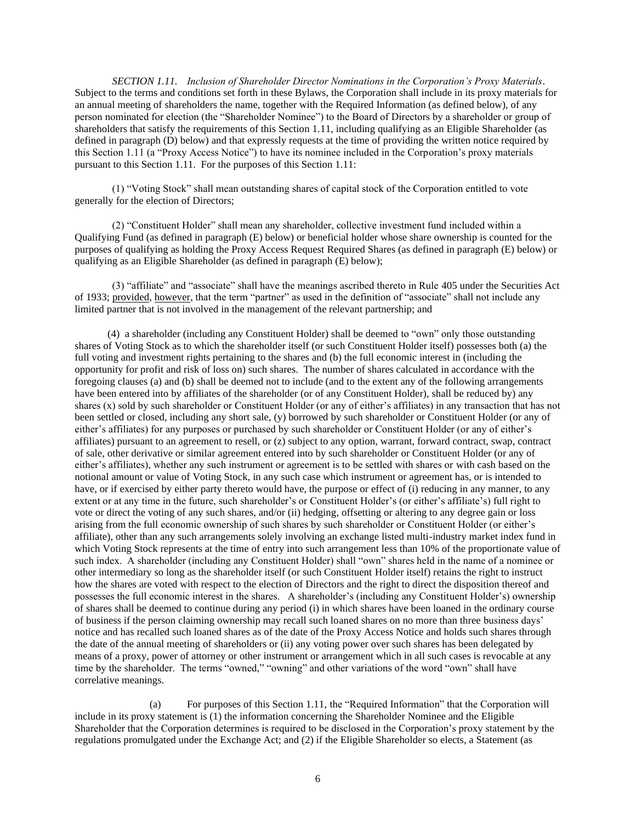<span id="page-8-0"></span>*SECTION 1.11. Inclusion of Shareholder Director Nominations in the Corporation's Proxy Materials*. Subject to the terms and conditions set forth in these Bylaws, the Corporation shall include in its proxy materials for an annual meeting of shareholders the name, together with the Required Information (as defined below), of any person nominated for election (the "Shareholder Nominee") to the Board of Directors by a shareholder or group of shareholders that satisfy the requirements of this Section 1.11, including qualifying as an Eligible Shareholder (as defined in paragraph (D) below) and that expressly requests at the time of providing the written notice required by this Section 1.11 (a "Proxy Access Notice") to have its nominee included in the Corporation's proxy materials pursuant to this Section 1.11. For the purposes of this Section 1.11:

(1) "Voting Stock" shall mean outstanding shares of capital stock of the Corporation entitled to vote generally for the election of Directors;

(2) "Constituent Holder" shall mean any shareholder, collective investment fund included within a Qualifying Fund (as defined in paragraph (E) below) or beneficial holder whose share ownership is counted for the purposes of qualifying as holding the Proxy Access Request Required Shares (as defined in paragraph (E) below) or qualifying as an Eligible Shareholder (as defined in paragraph (E) below);

(3) "affiliate" and "associate" shall have the meanings ascribed thereto in Rule 405 under the Securities Act of 1933; provided, however, that the term "partner" as used in the definition of "associate" shall not include any limited partner that is not involved in the management of the relevant partnership; and

(4) a shareholder (including any Constituent Holder) shall be deemed to "own" only those outstanding shares of Voting Stock as to which the shareholder itself (or such Constituent Holder itself) possesses both (a) the full voting and investment rights pertaining to the shares and (b) the full economic interest in (including the opportunity for profit and risk of loss on) such shares. The number of shares calculated in accordance with the foregoing clauses (a) and (b) shall be deemed not to include (and to the extent any of the following arrangements have been entered into by affiliates of the shareholder (or of any Constituent Holder), shall be reduced by) any shares (x) sold by such shareholder or Constituent Holder (or any of either's affiliates) in any transaction that has not been settled or closed, including any short sale, (y) borrowed by such shareholder or Constituent Holder (or any of either's affiliates) for any purposes or purchased by such shareholder or Constituent Holder (or any of either's affiliates) pursuant to an agreement to resell, or (z) subject to any option, warrant, forward contract, swap, contract of sale, other derivative or similar agreement entered into by such shareholder or Constituent Holder (or any of either's affiliates), whether any such instrument or agreement is to be settled with shares or with cash based on the notional amount or value of Voting Stock, in any such case which instrument or agreement has, or is intended to have, or if exercised by either party thereto would have, the purpose or effect of (i) reducing in any manner, to any extent or at any time in the future, such shareholder's or Constituent Holder's (or either's affiliate's) full right to vote or direct the voting of any such shares, and/or (ii) hedging, offsetting or altering to any degree gain or loss arising from the full economic ownership of such shares by such shareholder or Constituent Holder (or either's affiliate), other than any such arrangements solely involving an exchange listed multi-industry market index fund in which Voting Stock represents at the time of entry into such arrangement less than 10% of the proportionate value of such index. A shareholder (including any Constituent Holder) shall "own" shares held in the name of a nominee or other intermediary so long as the shareholder itself (or such Constituent Holder itself) retains the right to instruct how the shares are voted with respect to the election of Directors and the right to direct the disposition thereof and possesses the full economic interest in the shares. A shareholder's (including any Constituent Holder's) ownership of shares shall be deemed to continue during any period (i) in which shares have been loaned in the ordinary course of business if the person claiming ownership may recall such loaned shares on no more than three business days' notice and has recalled such loaned shares as of the date of the Proxy Access Notice and holds such shares through the date of the annual meeting of shareholders or (ii) any voting power over such shares has been delegated by means of a proxy, power of attorney or other instrument or arrangement which in all such cases is revocable at any time by the shareholder. The terms "owned," "owning" and other variations of the word "own" shall have correlative meanings.

(a) For purposes of this Section 1.11, the "Required Information" that the Corporation will include in its proxy statement is (1) the information concerning the Shareholder Nominee and the Eligible Shareholder that the Corporation determines is required to be disclosed in the Corporation's proxy statement by the regulations promulgated under the Exchange Act; and (2) if the Eligible Shareholder so elects, a Statement (as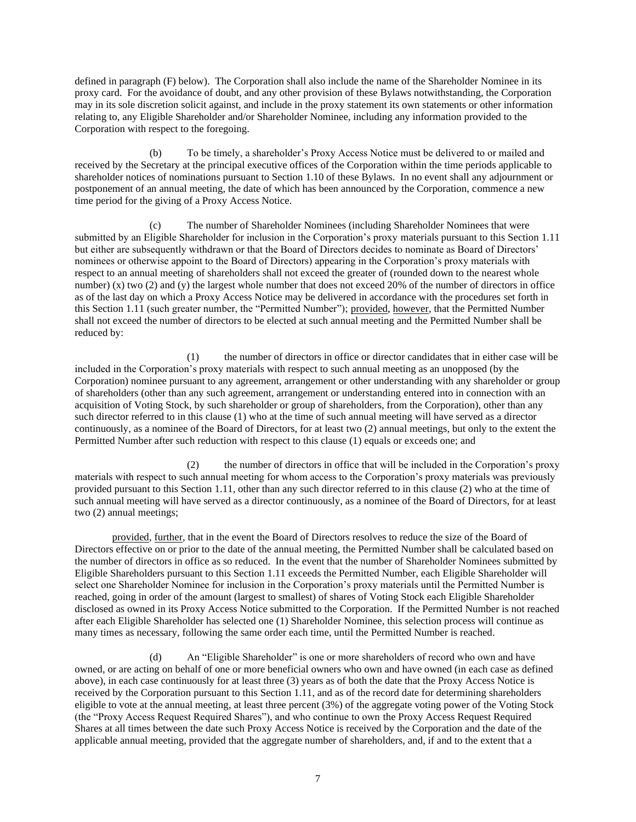defined in paragraph (F) below). The Corporation shall also include the name of the Shareholder Nominee in its proxy card. For the avoidance of doubt, and any other provision of these Bylaws notwithstanding, the Corporation may in its sole discretion solicit against, and include in the proxy statement its own statements or other information relating to, any Eligible Shareholder and/or Shareholder Nominee, including any information provided to the Corporation with respect to the foregoing.

(b) To be timely, a shareholder's Proxy Access Notice must be delivered to or mailed and received by the Secretary at the principal executive offices of the Corporation within the time periods applicable to shareholder notices of nominations pursuant to Section 1.10 of these Bylaws. In no event shall any adjournment or postponement of an annual meeting, the date of which has been announced by the Corporation, commence a new time period for the giving of a Proxy Access Notice.

(c) The number of Shareholder Nominees (including Shareholder Nominees that were submitted by an Eligible Shareholder for inclusion in the Corporation's proxy materials pursuant to this Section 1.11 but either are subsequently withdrawn or that the Board of Directors decides to nominate as Board of Directors' nominees or otherwise appoint to the Board of Directors) appearing in the Corporation's proxy materials with respect to an annual meeting of shareholders shall not exceed the greater of (rounded down to the nearest whole number) (x) two (2) and (y) the largest whole number that does not exceed 20% of the number of directors in office as of the last day on which a Proxy Access Notice may be delivered in accordance with the procedures set forth in this Section 1.11 (such greater number, the "Permitted Number"); provided, however, that the Permitted Number shall not exceed the number of directors to be elected at such annual meeting and the Permitted Number shall be reduced by:

(1) the number of directors in office or director candidates that in either case will be included in the Corporation's proxy materials with respect to such annual meeting as an unopposed (by the Corporation) nominee pursuant to any agreement, arrangement or other understanding with any shareholder or group of shareholders (other than any such agreement, arrangement or understanding entered into in connection with an acquisition of Voting Stock, by such shareholder or group of shareholders, from the Corporation), other than any such director referred to in this clause (1) who at the time of such annual meeting will have served as a director continuously, as a nominee of the Board of Directors, for at least two (2) annual meetings, but only to the extent the Permitted Number after such reduction with respect to this clause (1) equals or exceeds one; and

(2) the number of directors in office that will be included in the Corporation's proxy materials with respect to such annual meeting for whom access to the Corporation's proxy materials was previously provided pursuant to this Section 1.11, other than any such director referred to in this clause (2) who at the time of such annual meeting will have served as a director continuously, as a nominee of the Board of Directors, for at least two (2) annual meetings;

provided, further, that in the event the Board of Directors resolves to reduce the size of the Board of Directors effective on or prior to the date of the annual meeting, the Permitted Number shall be calculated based on the number of directors in office as so reduced. In the event that the number of Shareholder Nominees submitted by Eligible Shareholders pursuant to this Section 1.11 exceeds the Permitted Number, each Eligible Shareholder will select one Shareholder Nominee for inclusion in the Corporation's proxy materials until the Permitted Number is reached, going in order of the amount (largest to smallest) of shares of Voting Stock each Eligible Shareholder disclosed as owned in its Proxy Access Notice submitted to the Corporation. If the Permitted Number is not reached after each Eligible Shareholder has selected one (1) Shareholder Nominee, this selection process will continue as many times as necessary, following the same order each time, until the Permitted Number is reached.

(d) An "Eligible Shareholder" is one or more shareholders of record who own and have owned, or are acting on behalf of one or more beneficial owners who own and have owned (in each case as defined above), in each case continuously for at least three (3) years as of both the date that the Proxy Access Notice is received by the Corporation pursuant to this Section 1.11, and as of the record date for determining shareholders eligible to vote at the annual meeting, at least three percent (3%) of the aggregate voting power of the Voting Stock (the "Proxy Access Request Required Shares"), and who continue to own the Proxy Access Request Required Shares at all times between the date such Proxy Access Notice is received by the Corporation and the date of the applicable annual meeting, provided that the aggregate number of shareholders, and, if and to the extent that a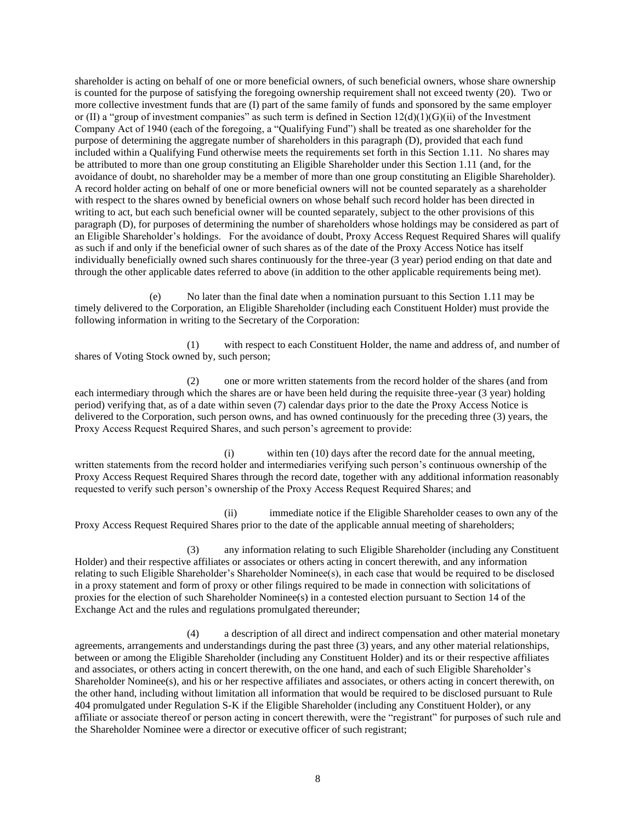shareholder is acting on behalf of one or more beneficial owners, of such beneficial owners, whose share ownership is counted for the purpose of satisfying the foregoing ownership requirement shall not exceed twenty (20). Two or more collective investment funds that are (I) part of the same family of funds and sponsored by the same employer or (II) a "group of investment companies" as such term is defined in Section  $12(d)(1)(G)(ii)$  of the Investment Company Act of 1940 (each of the foregoing, a "Qualifying Fund") shall be treated as one shareholder for the purpose of determining the aggregate number of shareholders in this paragraph (D), provided that each fund included within a Qualifying Fund otherwise meets the requirements set forth in this Section 1.11. No shares may be attributed to more than one group constituting an Eligible Shareholder under this Section 1.11 (and, for the avoidance of doubt, no shareholder may be a member of more than one group constituting an Eligible Shareholder). A record holder acting on behalf of one or more beneficial owners will not be counted separately as a shareholder with respect to the shares owned by beneficial owners on whose behalf such record holder has been directed in writing to act, but each such beneficial owner will be counted separately, subject to the other provisions of this paragraph (D), for purposes of determining the number of shareholders whose holdings may be considered as part of an Eligible Shareholder's holdings. For the avoidance of doubt, Proxy Access Request Required Shares will qualify as such if and only if the beneficial owner of such shares as of the date of the Proxy Access Notice has itself individually beneficially owned such shares continuously for the three-year (3 year) period ending on that date and through the other applicable dates referred to above (in addition to the other applicable requirements being met).

(e) No later than the final date when a nomination pursuant to this Section 1.11 may be timely delivered to the Corporation, an Eligible Shareholder (including each Constituent Holder) must provide the following information in writing to the Secretary of the Corporation:

(1) with respect to each Constituent Holder, the name and address of, and number of shares of Voting Stock owned by, such person;

(2) one or more written statements from the record holder of the shares (and from each intermediary through which the shares are or have been held during the requisite three-year (3 year) holding period) verifying that, as of a date within seven (7) calendar days prior to the date the Proxy Access Notice is delivered to the Corporation, such person owns, and has owned continuously for the preceding three (3) years, the Proxy Access Request Required Shares, and such person's agreement to provide:

(i) within ten (10) days after the record date for the annual meeting, written statements from the record holder and intermediaries verifying such person's continuous ownership of the Proxy Access Request Required Shares through the record date, together with any additional information reasonably requested to verify such person's ownership of the Proxy Access Request Required Shares; and

(ii) immediate notice if the Eligible Shareholder ceases to own any of the Proxy Access Request Required Shares prior to the date of the applicable annual meeting of shareholders;

(3) any information relating to such Eligible Shareholder (including any Constituent Holder) and their respective affiliates or associates or others acting in concert therewith, and any information relating to such Eligible Shareholder's Shareholder Nominee(s), in each case that would be required to be disclosed in a proxy statement and form of proxy or other filings required to be made in connection with solicitations of proxies for the election of such Shareholder Nominee(s) in a contested election pursuant to Section 14 of the Exchange Act and the rules and regulations promulgated thereunder;

(4) a description of all direct and indirect compensation and other material monetary agreements, arrangements and understandings during the past three (3) years, and any other material relationships, between or among the Eligible Shareholder (including any Constituent Holder) and its or their respective affiliates and associates, or others acting in concert therewith, on the one hand, and each of such Eligible Shareholder's Shareholder Nominee(s), and his or her respective affiliates and associates, or others acting in concert therewith, on the other hand, including without limitation all information that would be required to be disclosed pursuant to Rule 404 promulgated under Regulation S-K if the Eligible Shareholder (including any Constituent Holder), or any affiliate or associate thereof or person acting in concert therewith, were the "registrant" for purposes of such rule and the Shareholder Nominee were a director or executive officer of such registrant;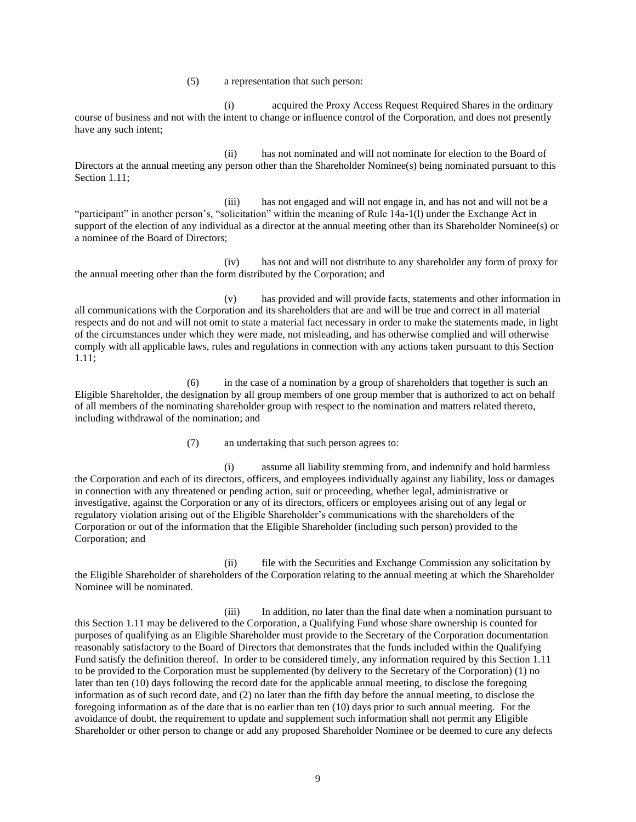(5) a representation that such person:

(i) acquired the Proxy Access Request Required Shares in the ordinary course of business and not with the intent to change or influence control of the Corporation, and does not presently have any such intent;

(ii) has not nominated and will not nominate for election to the Board of Directors at the annual meeting any person other than the Shareholder Nominee(s) being nominated pursuant to this Section 1.11;

(iii) has not engaged and will not engage in, and has not and will not be a "participant" in another person's, "solicitation" within the meaning of Rule 14a-1(l) under the Exchange Act in support of the election of any individual as a director at the annual meeting other than its Shareholder Nominee(s) or a nominee of the Board of Directors;

(iv) has not and will not distribute to any shareholder any form of proxy for the annual meeting other than the form distributed by the Corporation; and

(v) has provided and will provide facts, statements and other information in all communications with the Corporation and its shareholders that are and will be true and correct in all material respects and do not and will not omit to state a material fact necessary in order to make the statements made, in light of the circumstances under which they were made, not misleading, and has otherwise complied and will otherwise comply with all applicable laws, rules and regulations in connection with any actions taken pursuant to this Section 1.11;

(6) in the case of a nomination by a group of shareholders that together is such an Eligible Shareholder, the designation by all group members of one group member that is authorized to act on behalf of all members of the nominating shareholder group with respect to the nomination and matters related thereto, including withdrawal of the nomination; and

(7) an undertaking that such person agrees to:

(i) assume all liability stemming from, and indemnify and hold harmless the Corporation and each of its directors, officers, and employees individually against any liability, loss or damages in connection with any threatened or pending action, suit or proceeding, whether legal, administrative or investigative, against the Corporation or any of its directors, officers or employees arising out of any legal or regulatory violation arising out of the Eligible Shareholder's communications with the shareholders of the Corporation or out of the information that the Eligible Shareholder (including such person) provided to the Corporation; and

(ii) file with the Securities and Exchange Commission any solicitation by the Eligible Shareholder of shareholders of the Corporation relating to the annual meeting at which the Shareholder Nominee will be nominated.

(iii) In addition, no later than the final date when a nomination pursuant to this Section 1.11 may be delivered to the Corporation, a Qualifying Fund whose share ownership is counted for purposes of qualifying as an Eligible Shareholder must provide to the Secretary of the Corporation documentation reasonably satisfactory to the Board of Directors that demonstrates that the funds included within the Qualifying Fund satisfy the definition thereof. In order to be considered timely, any information required by this Section 1.11 to be provided to the Corporation must be supplemented (by delivery to the Secretary of the Corporation) (1) no later than ten (10) days following the record date for the applicable annual meeting, to disclose the foregoing information as of such record date, and (2) no later than the fifth day before the annual meeting, to disclose the foregoing information as of the date that is no earlier than ten (10) days prior to such annual meeting. For the avoidance of doubt, the requirement to update and supplement such information shall not permit any Eligible Shareholder or other person to change or add any proposed Shareholder Nominee or be deemed to cure any defects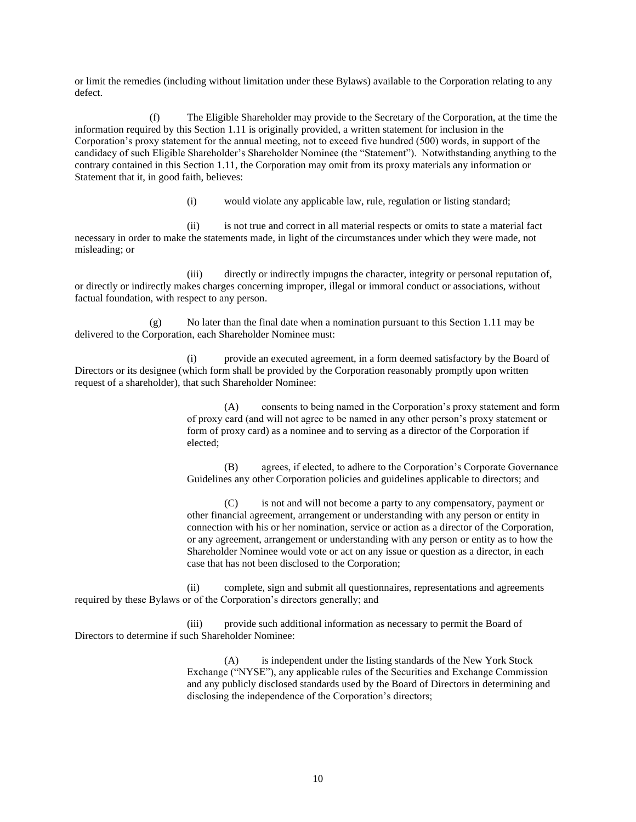or limit the remedies (including without limitation under these Bylaws) available to the Corporation relating to any defect.

(f) The Eligible Shareholder may provide to the Secretary of the Corporation, at the time the information required by this Section 1.11 is originally provided, a written statement for inclusion in the Corporation's proxy statement for the annual meeting, not to exceed five hundred (500) words, in support of the candidacy of such Eligible Shareholder's Shareholder Nominee (the "Statement"). Notwithstanding anything to the contrary contained in this Section 1.11, the Corporation may omit from its proxy materials any information or Statement that it, in good faith, believes:

(i) would violate any applicable law, rule, regulation or listing standard;

(ii) is not true and correct in all material respects or omits to state a material fact necessary in order to make the statements made, in light of the circumstances under which they were made, not misleading; or

(iii) directly or indirectly impugns the character, integrity or personal reputation of, or directly or indirectly makes charges concerning improper, illegal or immoral conduct or associations, without factual foundation, with respect to any person.

(g) No later than the final date when a nomination pursuant to this Section 1.11 may be delivered to the Corporation, each Shareholder Nominee must:

(i) provide an executed agreement, in a form deemed satisfactory by the Board of Directors or its designee (which form shall be provided by the Corporation reasonably promptly upon written request of a shareholder), that such Shareholder Nominee:

> (A) consents to being named in the Corporation's proxy statement and form of proxy card (and will not agree to be named in any other person's proxy statement or form of proxy card) as a nominee and to serving as a director of the Corporation if elected;

> (B) agrees, if elected, to adhere to the Corporation's Corporate Governance Guidelines any other Corporation policies and guidelines applicable to directors; and

(C) is not and will not become a party to any compensatory, payment or other financial agreement, arrangement or understanding with any person or entity in connection with his or her nomination, service or action as a director of the Corporation, or any agreement, arrangement or understanding with any person or entity as to how the Shareholder Nominee would vote or act on any issue or question as a director, in each case that has not been disclosed to the Corporation;

(ii) complete, sign and submit all questionnaires, representations and agreements required by these Bylaws or of the Corporation's directors generally; and

(iii) provide such additional information as necessary to permit the Board of Directors to determine if such Shareholder Nominee:

> (A) is independent under the listing standards of the New York Stock Exchange ("NYSE"), any applicable rules of the Securities and Exchange Commission and any publicly disclosed standards used by the Board of Directors in determining and disclosing the independence of the Corporation's directors;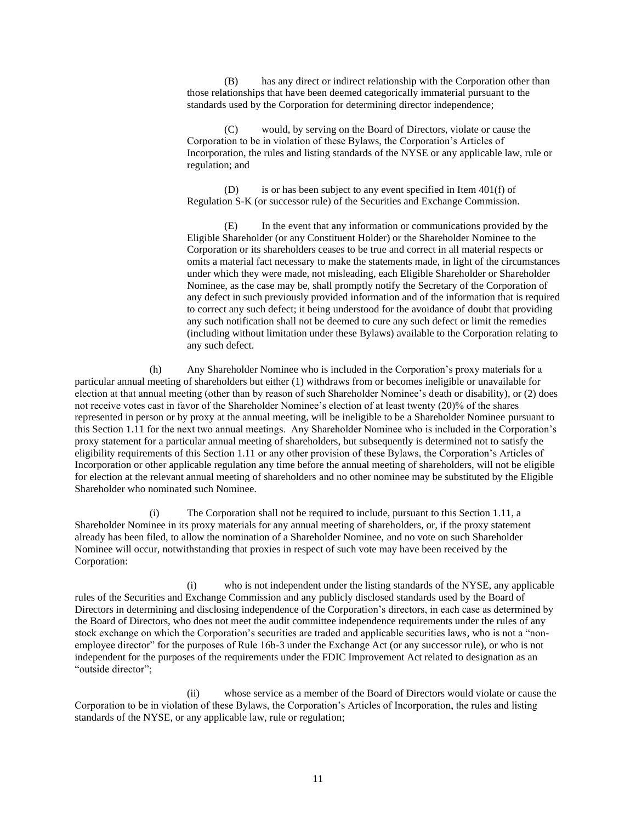(B) has any direct or indirect relationship with the Corporation other than those relationships that have been deemed categorically immaterial pursuant to the standards used by the Corporation for determining director independence;

would, by serving on the Board of Directors, violate or cause the Corporation to be in violation of these Bylaws, the Corporation's Articles of Incorporation, the rules and listing standards of the NYSE or any applicable law, rule or regulation; and

(D) is or has been subject to any event specified in Item 401(f) of Regulation S-K (or successor rule) of the Securities and Exchange Commission.

(E) In the event that any information or communications provided by the Eligible Shareholder (or any Constituent Holder) or the Shareholder Nominee to the Corporation or its shareholders ceases to be true and correct in all material respects or omits a material fact necessary to make the statements made, in light of the circumstances under which they were made, not misleading, each Eligible Shareholder or Shareholder Nominee, as the case may be, shall promptly notify the Secretary of the Corporation of any defect in such previously provided information and of the information that is required to correct any such defect; it being understood for the avoidance of doubt that providing any such notification shall not be deemed to cure any such defect or limit the remedies (including without limitation under these Bylaws) available to the Corporation relating to any such defect.

(h) Any Shareholder Nominee who is included in the Corporation's proxy materials for a particular annual meeting of shareholders but either (1) withdraws from or becomes ineligible or unavailable for election at that annual meeting (other than by reason of such Shareholder Nominee's death or disability), or (2) does not receive votes cast in favor of the Shareholder Nominee's election of at least twenty (20)% of the shares represented in person or by proxy at the annual meeting, will be ineligible to be a Shareholder Nominee pursuant to this Section 1.11 for the next two annual meetings. Any Shareholder Nominee who is included in the Corporation's proxy statement for a particular annual meeting of shareholders, but subsequently is determined not to satisfy the eligibility requirements of this Section 1.11 or any other provision of these Bylaws, the Corporation's Articles of Incorporation or other applicable regulation any time before the annual meeting of shareholders, will not be eligible for election at the relevant annual meeting of shareholders and no other nominee may be substituted by the Eligible Shareholder who nominated such Nominee.

(i) The Corporation shall not be required to include, pursuant to this Section 1.11, a Shareholder Nominee in its proxy materials for any annual meeting of shareholders, or, if the proxy statement already has been filed, to allow the nomination of a Shareholder Nominee, and no vote on such Shareholder Nominee will occur, notwithstanding that proxies in respect of such vote may have been received by the Corporation:

(i) who is not independent under the listing standards of the NYSE, any applicable rules of the Securities and Exchange Commission and any publicly disclosed standards used by the Board of Directors in determining and disclosing independence of the Corporation's directors, in each case as determined by the Board of Directors, who does not meet the audit committee independence requirements under the rules of any stock exchange on which the Corporation's securities are traded and applicable securities laws*,* who is not a "nonemployee director" for the purposes of Rule 16b-3 under the Exchange Act (or any successor rule), or who is not independent for the purposes of the requirements under the FDIC Improvement Act related to designation as an "outside director";

(ii) whose service as a member of the Board of Directors would violate or cause the Corporation to be in violation of these Bylaws, the Corporation's Articles of Incorporation, the rules and listing standards of the NYSE, or any applicable law, rule or regulation;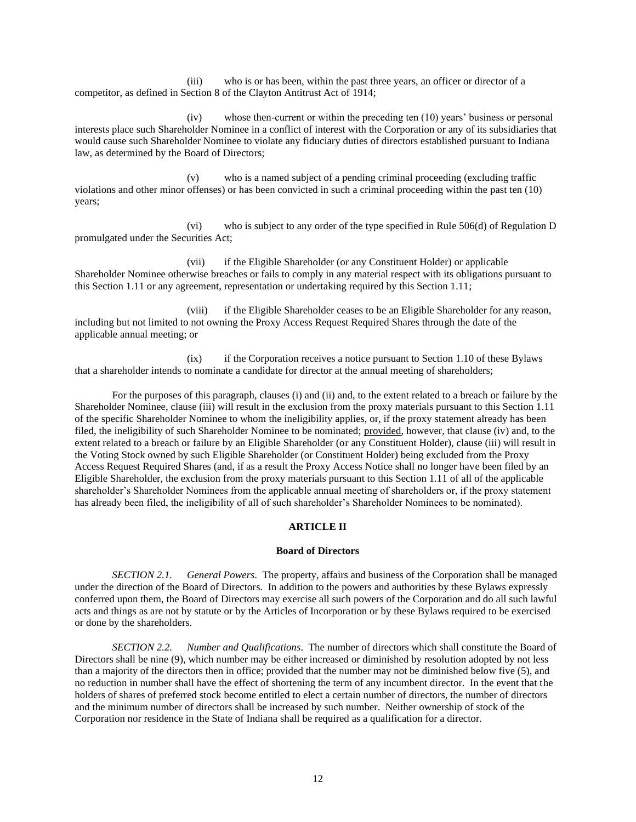(iii) who is or has been, within the past three years, an officer or director of a competitor, as defined in Section 8 of the Clayton Antitrust Act of 1914;

(iv) whose then-current or within the preceding ten (10) years' business or personal interests place such Shareholder Nominee in a conflict of interest with the Corporation or any of its subsidiaries that would cause such Shareholder Nominee to violate any fiduciary duties of directors established pursuant to Indiana law, as determined by the Board of Directors;

(v) who is a named subject of a pending criminal proceeding (excluding traffic violations and other minor offenses) or has been convicted in such a criminal proceeding within the past ten (10) years;

(vi) who is subject to any order of the type specified in Rule 506(d) of Regulation D promulgated under the Securities Act;

(vii) if the Eligible Shareholder (or any Constituent Holder) or applicable Shareholder Nominee otherwise breaches or fails to comply in any material respect with its obligations pursuant to this Section 1.11 or any agreement, representation or undertaking required by this Section 1.11;

(viii) if the Eligible Shareholder ceases to be an Eligible Shareholder for any reason, including but not limited to not owning the Proxy Access Request Required Shares through the date of the applicable annual meeting; or

(ix) if the Corporation receives a notice pursuant to Section 1.10 of these Bylaws that a shareholder intends to nominate a candidate for director at the annual meeting of shareholders;

For the purposes of this paragraph, clauses (i) and (ii) and, to the extent related to a breach or failure by the Shareholder Nominee, clause (iii) will result in the exclusion from the proxy materials pursuant to this Section 1.11 of the specific Shareholder Nominee to whom the ineligibility applies, or, if the proxy statement already has been filed, the ineligibility of such Shareholder Nominee to be nominated; provided, however, that clause (iv) and, to the extent related to a breach or failure by an Eligible Shareholder (or any Constituent Holder), clause (iii) will result in the Voting Stock owned by such Eligible Shareholder (or Constituent Holder) being excluded from the Proxy Access Request Required Shares (and, if as a result the Proxy Access Notice shall no longer have been filed by an Eligible Shareholder, the exclusion from the proxy materials pursuant to this Section 1.11 of all of the applicable shareholder's Shareholder Nominees from the applicable annual meeting of shareholders or, if the proxy statement has already been filed, the ineligibility of all of such shareholder's Shareholder Nominees to be nominated).

## **ARTICLE II**

#### **Board of Directors**

<span id="page-14-1"></span><span id="page-14-0"></span>*SECTION 2.1. General Powers*. The property, affairs and business of the Corporation shall be managed under the direction of the Board of Directors. In addition to the powers and authorities by these Bylaws expressly conferred upon them, the Board of Directors may exercise all such powers of the Corporation and do all such lawful acts and things as are not by statute or by the Articles of Incorporation or by these Bylaws required to be exercised or done by the shareholders.

<span id="page-14-2"></span>*SECTION 2.2. Number and Qualifications*. The number of directors which shall constitute the Board of Directors shall be nine (9), which number may be either increased or diminished by resolution adopted by not less than a majority of the directors then in office; provided that the number may not be diminished below five (5), and no reduction in number shall have the effect of shortening the term of any incumbent director. In the event that the holders of shares of preferred stock become entitled to elect a certain number of directors, the number of directors and the minimum number of directors shall be increased by such number. Neither ownership of stock of the Corporation nor residence in the State of Indiana shall be required as a qualification for a director.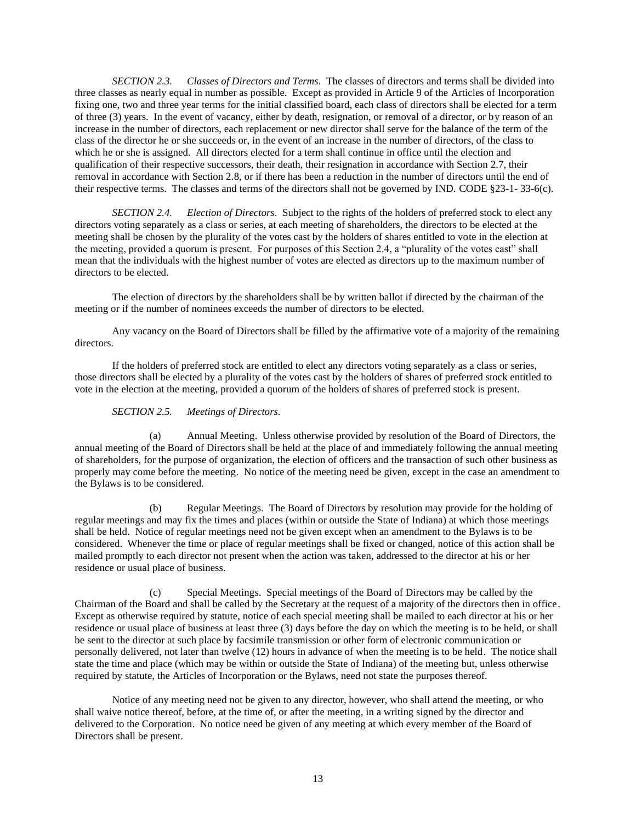<span id="page-15-0"></span>*SECTION 2.3. Classes of Directors and Terms*. The classes of directors and terms shall be divided into three classes as nearly equal in number as possible. Except as provided in Article 9 of the Articles of Incorporation fixing one, two and three year terms for the initial classified board, each class of directors shall be elected for a term of three (3) years. In the event of vacancy, either by death, resignation, or removal of a director, or by reason of an increase in the number of directors, each replacement or new director shall serve for the balance of the term of the class of the director he or she succeeds or, in the event of an increase in the number of directors, of the class to which he or she is assigned. All directors elected for a term shall continue in office until the election and qualification of their respective successors, their death, their resignation in accordance with Section 2.7, their removal in accordance with Section 2.8, or if there has been a reduction in the number of directors until the end of their respective terms. The classes and terms of the directors shall not be governed by IND. CODE §23-1- 33-6(c).

<span id="page-15-1"></span>*SECTION 2.4. Election of Directors*. Subject to the rights of the holders of preferred stock to elect any directors voting separately as a class or series, at each meeting of shareholders, the directors to be elected at the meeting shall be chosen by the plurality of the votes cast by the holders of shares entitled to vote in the election at the meeting, provided a quorum is present. For purposes of this Section 2.4, a "plurality of the votes cast" shall mean that the individuals with the highest number of votes are elected as directors up to the maximum number of directors to be elected.

The election of directors by the shareholders shall be by written ballot if directed by the chairman of the meeting or if the number of nominees exceeds the number of directors to be elected.

Any vacancy on the Board of Directors shall be filled by the affirmative vote of a majority of the remaining directors.

If the holders of preferred stock are entitled to elect any directors voting separately as a class or series, those directors shall be elected by a plurality of the votes cast by the holders of shares of preferred stock entitled to vote in the election at the meeting, provided a quorum of the holders of shares of preferred stock is present.

## *SECTION 2.5. Meetings of Directors*.

<span id="page-15-2"></span>(a) Annual Meeting. Unless otherwise provided by resolution of the Board of Directors, the annual meeting of the Board of Directors shall be held at the place of and immediately following the annual meeting of shareholders, for the purpose of organization, the election of officers and the transaction of such other business as properly may come before the meeting. No notice of the meeting need be given, except in the case an amendment to the Bylaws is to be considered.

(b) Regular Meetings. The Board of Directors by resolution may provide for the holding of regular meetings and may fix the times and places (within or outside the State of Indiana) at which those meetings shall be held. Notice of regular meetings need not be given except when an amendment to the Bylaws is to be considered. Whenever the time or place of regular meetings shall be fixed or changed, notice of this action shall be mailed promptly to each director not present when the action was taken, addressed to the director at his or her residence or usual place of business.

(c) Special Meetings. Special meetings of the Board of Directors may be called by the Chairman of the Board and shall be called by the Secretary at the request of a majority of the directors then in office. Except as otherwise required by statute, notice of each special meeting shall be mailed to each director at his or her residence or usual place of business at least three (3) days before the day on which the meeting is to be held, or shall be sent to the director at such place by facsimile transmission or other form of electronic communication or personally delivered, not later than twelve (12) hours in advance of when the meeting is to be held. The notice shall state the time and place (which may be within or outside the State of Indiana) of the meeting but, unless otherwise required by statute, the Articles of Incorporation or the Bylaws, need not state the purposes thereof.

Notice of any meeting need not be given to any director, however, who shall attend the meeting, or who shall waive notice thereof, before, at the time of, or after the meeting, in a writing signed by the director and delivered to the Corporation. No notice need be given of any meeting at which every member of the Board of Directors shall be present.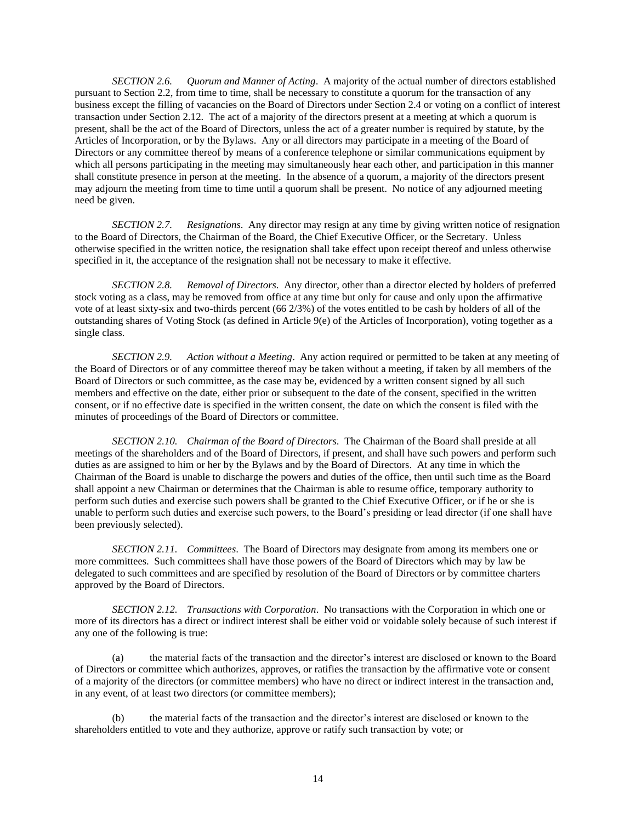<span id="page-16-0"></span>*SECTION 2.6. Quorum and Manner of Acting*. A majority of the actual number of directors established pursuant to Section 2.2, from time to time, shall be necessary to constitute a quorum for the transaction of any business except the filling of vacancies on the Board of Directors under Section 2.4 or voting on a conflict of interest transaction under Section 2.12. The act of a majority of the directors present at a meeting at which a quorum is present, shall be the act of the Board of Directors, unless the act of a greater number is required by statute, by the Articles of Incorporation, or by the Bylaws. Any or all directors may participate in a meeting of the Board of Directors or any committee thereof by means of a conference telephone or similar communications equipment by which all persons participating in the meeting may simultaneously hear each other, and participation in this manner shall constitute presence in person at the meeting. In the absence of a quorum, a majority of the directors present may adjourn the meeting from time to time until a quorum shall be present. No notice of any adjourned meeting need be given.

<span id="page-16-1"></span>*SECTION 2.7. Resignations*. Any director may resign at any time by giving written notice of resignation to the Board of Directors, the Chairman of the Board, the Chief Executive Officer, or the Secretary. Unless otherwise specified in the written notice, the resignation shall take effect upon receipt thereof and unless otherwise specified in it, the acceptance of the resignation shall not be necessary to make it effective.

<span id="page-16-2"></span>*SECTION 2.8. Removal of Directors*. Any director, other than a director elected by holders of preferred stock voting as a class, may be removed from office at any time but only for cause and only upon the affirmative vote of at least sixty-six and two-thirds percent (66 2/3%) of the votes entitled to be cash by holders of all of the outstanding shares of Voting Stock (as defined in Article 9(e) of the Articles of Incorporation), voting together as a single class.

<span id="page-16-3"></span>*SECTION 2.9. Action without a Meeting*. Any action required or permitted to be taken at any meeting of the Board of Directors or of any committee thereof may be taken without a meeting, if taken by all members of the Board of Directors or such committee, as the case may be, evidenced by a written consent signed by all such members and effective on the date, either prior or subsequent to the date of the consent, specified in the written consent, or if no effective date is specified in the written consent, the date on which the consent is filed with the minutes of proceedings of the Board of Directors or committee.

<span id="page-16-4"></span>*SECTION 2.10. Chairman of the Board of Directors*. The Chairman of the Board shall preside at all meetings of the shareholders and of the Board of Directors, if present, and shall have such powers and perform such duties as are assigned to him or her by the Bylaws and by the Board of Directors. At any time in which the Chairman of the Board is unable to discharge the powers and duties of the office, then until such time as the Board shall appoint a new Chairman or determines that the Chairman is able to resume office, temporary authority to perform such duties and exercise such powers shall be granted to the Chief Executive Officer, or if he or she is unable to perform such duties and exercise such powers, to the Board's presiding or lead director (if one shall have been previously selected).

<span id="page-16-5"></span>*SECTION 2.11. Committees*. The Board of Directors may designate from among its members one or more committees. Such committees shall have those powers of the Board of Directors which may by law be delegated to such committees and are specified by resolution of the Board of Directors or by committee charters approved by the Board of Directors.

<span id="page-16-6"></span>*SECTION 2.12. Transactions with Corporation*. No transactions with the Corporation in which one or more of its directors has a direct or indirect interest shall be either void or voidable solely because of such interest if any one of the following is true:

(a) the material facts of the transaction and the director's interest are disclosed or known to the Board of Directors or committee which authorizes, approves, or ratifies the transaction by the affirmative vote or consent of a majority of the directors (or committee members) who have no direct or indirect interest in the transaction and, in any event, of at least two directors (or committee members);

(b) the material facts of the transaction and the director's interest are disclosed or known to the shareholders entitled to vote and they authorize, approve or ratify such transaction by vote; or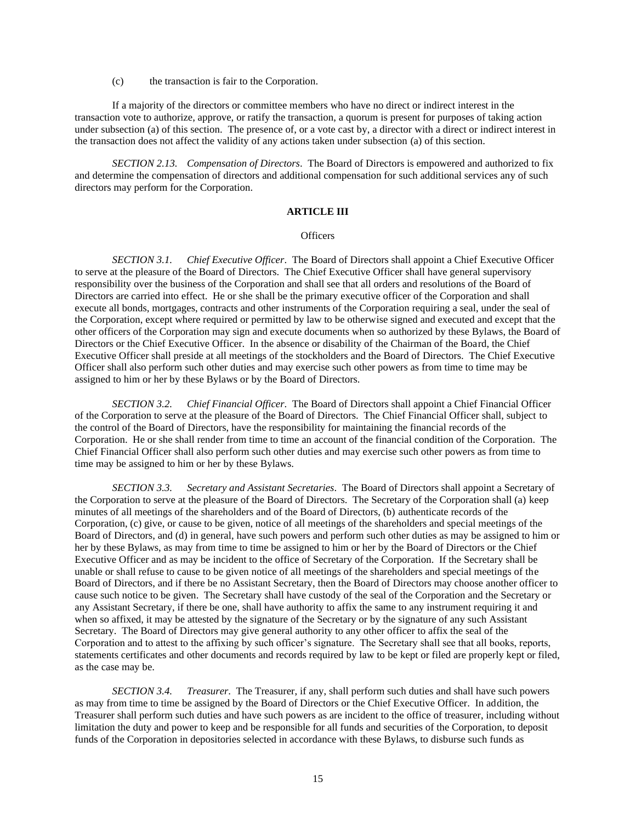(c) the transaction is fair to the Corporation.

If a majority of the directors or committee members who have no direct or indirect interest in the transaction vote to authorize, approve, or ratify the transaction, a quorum is present for purposes of taking action under subsection (a) of this section. The presence of, or a vote cast by, a director with a direct or indirect interest in the transaction does not affect the validity of any actions taken under subsection (a) of this section.

<span id="page-17-0"></span>*SECTION 2.13. Compensation of Directors*. The Board of Directors is empowered and authorized to fix and determine the compensation of directors and additional compensation for such additional services any of such directors may perform for the Corporation.

## **ARTICLE III**

#### **Officers**

<span id="page-17-2"></span><span id="page-17-1"></span>*SECTION 3.1. Chief Executive Officer*. The Board of Directors shall appoint a Chief Executive Officer to serve at the pleasure of the Board of Directors. The Chief Executive Officer shall have general supervisory responsibility over the business of the Corporation and shall see that all orders and resolutions of the Board of Directors are carried into effect. He or she shall be the primary executive officer of the Corporation and shall execute all bonds, mortgages, contracts and other instruments of the Corporation requiring a seal, under the seal of the Corporation, except where required or permitted by law to be otherwise signed and executed and except that the other officers of the Corporation may sign and execute documents when so authorized by these Bylaws, the Board of Directors or the Chief Executive Officer. In the absence or disability of the Chairman of the Board, the Chief Executive Officer shall preside at all meetings of the stockholders and the Board of Directors. The Chief Executive Officer shall also perform such other duties and may exercise such other powers as from time to time may be assigned to him or her by these Bylaws or by the Board of Directors.

<span id="page-17-3"></span>*SECTION 3.2. Chief Financial Officer*. The Board of Directors shall appoint a Chief Financial Officer of the Corporation to serve at the pleasure of the Board of Directors. The Chief Financial Officer shall, subject to the control of the Board of Directors, have the responsibility for maintaining the financial records of the Corporation. He or she shall render from time to time an account of the financial condition of the Corporation. The Chief Financial Officer shall also perform such other duties and may exercise such other powers as from time to time may be assigned to him or her by these Bylaws.

<span id="page-17-4"></span>*SECTION 3.3. Secretary and Assistant Secretaries*. The Board of Directors shall appoint a Secretary of the Corporation to serve at the pleasure of the Board of Directors. The Secretary of the Corporation shall (a) keep minutes of all meetings of the shareholders and of the Board of Directors, (b) authenticate records of the Corporation, (c) give, or cause to be given, notice of all meetings of the shareholders and special meetings of the Board of Directors, and (d) in general, have such powers and perform such other duties as may be assigned to him or her by these Bylaws, as may from time to time be assigned to him or her by the Board of Directors or the Chief Executive Officer and as may be incident to the office of Secretary of the Corporation. If the Secretary shall be unable or shall refuse to cause to be given notice of all meetings of the shareholders and special meetings of the Board of Directors, and if there be no Assistant Secretary, then the Board of Directors may choose another officer to cause such notice to be given. The Secretary shall have custody of the seal of the Corporation and the Secretary or any Assistant Secretary, if there be one, shall have authority to affix the same to any instrument requiring it and when so affixed, it may be attested by the signature of the Secretary or by the signature of any such Assistant Secretary. The Board of Directors may give general authority to any other officer to affix the seal of the Corporation and to attest to the affixing by such officer's signature. The Secretary shall see that all books, reports, statements certificates and other documents and records required by law to be kept or filed are properly kept or filed, as the case may be.

<span id="page-17-5"></span>*SECTION 3.4. Treasurer*. The Treasurer, if any, shall perform such duties and shall have such powers as may from time to time be assigned by the Board of Directors or the Chief Executive Officer. In addition, the Treasurer shall perform such duties and have such powers as are incident to the office of treasurer, including without limitation the duty and power to keep and be responsible for all funds and securities of the Corporation, to deposit funds of the Corporation in depositories selected in accordance with these Bylaws, to disburse such funds as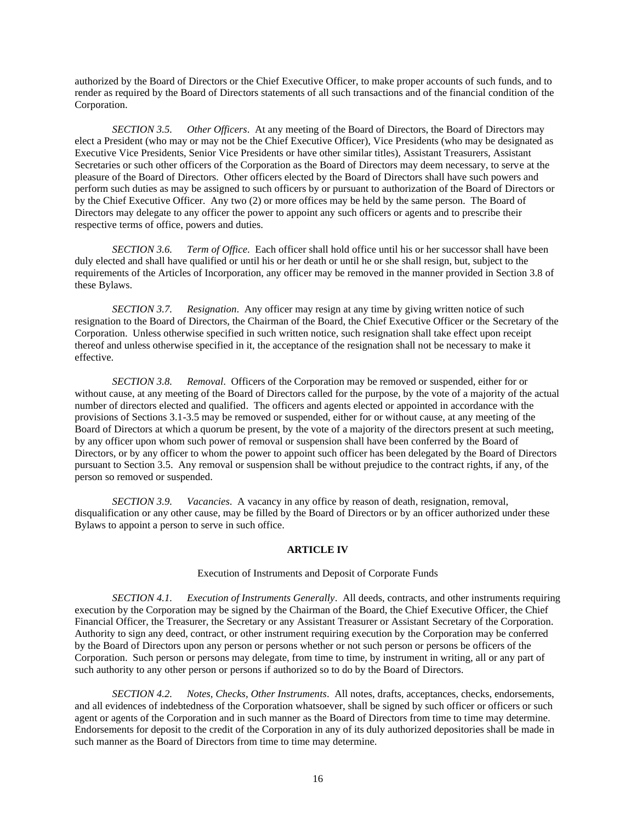authorized by the Board of Directors or the Chief Executive Officer, to make proper accounts of such funds, and to render as required by the Board of Directors statements of all such transactions and of the financial condition of the Corporation.

<span id="page-18-0"></span>*SECTION 3.5. Other Officers*. At any meeting of the Board of Directors, the Board of Directors may elect a President (who may or may not be the Chief Executive Officer), Vice Presidents (who may be designated as Executive Vice Presidents, Senior Vice Presidents or have other similar titles), Assistant Treasurers, Assistant Secretaries or such other officers of the Corporation as the Board of Directors may deem necessary, to serve at the pleasure of the Board of Directors. Other officers elected by the Board of Directors shall have such powers and perform such duties as may be assigned to such officers by or pursuant to authorization of the Board of Directors or by the Chief Executive Officer. Any two (2) or more offices may be held by the same person. The Board of Directors may delegate to any officer the power to appoint any such officers or agents and to prescribe their respective terms of office, powers and duties.

<span id="page-18-1"></span>*SECTION 3.6. Term of Office*. Each officer shall hold office until his or her successor shall have been duly elected and shall have qualified or until his or her death or until he or she shall resign, but, subject to the requirements of the Articles of Incorporation, any officer may be removed in the manner provided in Section 3.8 of these Bylaws.

<span id="page-18-2"></span>*SECTION 3.7. Resignation*. Any officer may resign at any time by giving written notice of such resignation to the Board of Directors, the Chairman of the Board, the Chief Executive Officer or the Secretary of the Corporation. Unless otherwise specified in such written notice, such resignation shall take effect upon receipt thereof and unless otherwise specified in it, the acceptance of the resignation shall not be necessary to make it effective.

<span id="page-18-3"></span>*SECTION 3.8. Removal*. Officers of the Corporation may be removed or suspended, either for or without cause, at any meeting of the Board of Directors called for the purpose, by the vote of a majority of the actual number of directors elected and qualified. The officers and agents elected or appointed in accordance with the provisions of Sections 3.1-3.5 may be removed or suspended, either for or without cause, at any meeting of the Board of Directors at which a quorum be present, by the vote of a majority of the directors present at such meeting, by any officer upon whom such power of removal or suspension shall have been conferred by the Board of Directors, or by any officer to whom the power to appoint such officer has been delegated by the Board of Directors pursuant to Section 3.5. Any removal or suspension shall be without prejudice to the contract rights, if any, of the person so removed or suspended.

<span id="page-18-4"></span>*SECTION 3.9. Vacancies*. A vacancy in any office by reason of death, resignation, removal, disqualification or any other cause, may be filled by the Board of Directors or by an officer authorized under these Bylaws to appoint a person to serve in such office.

## **ARTICLE IV**

#### Execution of Instruments and Deposit of Corporate Funds

<span id="page-18-6"></span><span id="page-18-5"></span>*SECTION 4.1. Execution of Instruments Generally*. All deeds, contracts, and other instruments requiring execution by the Corporation may be signed by the Chairman of the Board, the Chief Executive Officer, the Chief Financial Officer, the Treasurer, the Secretary or any Assistant Treasurer or Assistant Secretary of the Corporation. Authority to sign any deed, contract, or other instrument requiring execution by the Corporation may be conferred by the Board of Directors upon any person or persons whether or not such person or persons be officers of the Corporation. Such person or persons may delegate, from time to time, by instrument in writing, all or any part of such authority to any other person or persons if authorized so to do by the Board of Directors.

<span id="page-18-7"></span>*SECTION 4.2. Notes, Checks, Other Instruments*. All notes, drafts, acceptances, checks, endorsements, and all evidences of indebtedness of the Corporation whatsoever, shall be signed by such officer or officers or such agent or agents of the Corporation and in such manner as the Board of Directors from time to time may determine. Endorsements for deposit to the credit of the Corporation in any of its duly authorized depositories shall be made in such manner as the Board of Directors from time to time may determine.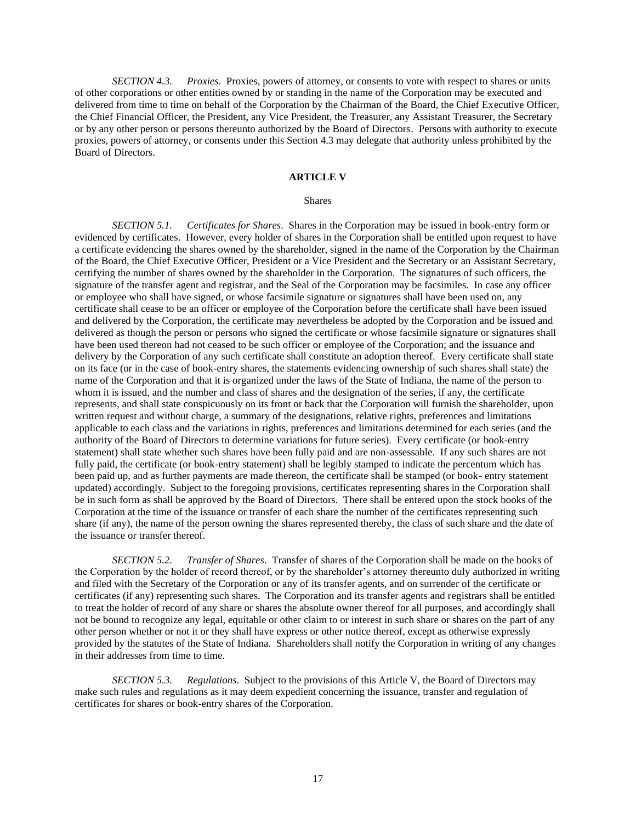<span id="page-19-0"></span>*SECTION 4.3. Proxies*. Proxies, powers of attorney, or consents to vote with respect to shares or units of other corporations or other entities owned by or standing in the name of the Corporation may be executed and delivered from time to time on behalf of the Corporation by the Chairman of the Board, the Chief Executive Officer, the Chief Financial Officer, the President, any Vice President, the Treasurer, any Assistant Treasurer, the Secretary or by any other person or persons thereunto authorized by the Board of Directors. Persons with authority to execute proxies, powers of attorney, or consents under this Section 4.3 may delegate that authority unless prohibited by the Board of Directors.

## **ARTICLE V**

#### Shares

<span id="page-19-2"></span><span id="page-19-1"></span>*SECTION 5.1. Certificates for Shares*. Shares in the Corporation may be issued in book-entry form or evidenced by certificates. However, every holder of shares in the Corporation shall be entitled upon request to have a certificate evidencing the shares owned by the shareholder, signed in the name of the Corporation by the Chairman of the Board, the Chief Executive Officer, President or a Vice President and the Secretary or an Assistant Secretary, certifying the number of shares owned by the shareholder in the Corporation. The signatures of such officers, the signature of the transfer agent and registrar, and the Seal of the Corporation may be facsimiles. In case any officer or employee who shall have signed, or whose facsimile signature or signatures shall have been used on, any certificate shall cease to be an officer or employee of the Corporation before the certificate shall have been issued and delivered by the Corporation, the certificate may nevertheless be adopted by the Corporation and be issued and delivered as though the person or persons who signed the certificate or whose facsimile signature or signatures shall have been used thereon had not ceased to be such officer or employee of the Corporation; and the issuance and delivery by the Corporation of any such certificate shall constitute an adoption thereof. Every certificate shall state on its face (or in the case of book-entry shares, the statements evidencing ownership of such shares shall state) the name of the Corporation and that it is organized under the laws of the State of Indiana, the name of the person to whom it is issued, and the number and class of shares and the designation of the series, if any, the certificate represents, and shall state conspicuously on its front or back that the Corporation will furnish the shareholder, upon written request and without charge, a summary of the designations, relative rights, preferences and limitations applicable to each class and the variations in rights, preferences and limitations determined for each series (and the authority of the Board of Directors to determine variations for future series). Every certificate (or book-entry statement) shall state whether such shares have been fully paid and are non-assessable. If any such shares are not fully paid, the certificate (or book-entry statement) shall be legibly stamped to indicate the percentum which has been paid up, and as further payments are made thereon, the certificate shall be stamped (or book- entry statement updated) accordingly. Subject to the foregoing provisions, certificates representing shares in the Corporation shall be in such form as shall be approved by the Board of Directors. There shall be entered upon the stock books of the Corporation at the time of the issuance or transfer of each share the number of the certificates representing such share (if any), the name of the person owning the shares represented thereby, the class of such share and the date of the issuance or transfer thereof.

<span id="page-19-3"></span>*SECTION 5.2. Transfer of Shares*. Transfer of shares of the Corporation shall be made on the books of the Corporation by the holder of record thereof, or by the shareholder's attorney thereunto duly authorized in writing and filed with the Secretary of the Corporation or any of its transfer agents, and on surrender of the certificate or certificates (if any) representing such shares. The Corporation and its transfer agents and registrars shall be entitled to treat the holder of record of any share or shares the absolute owner thereof for all purposes, and accordingly shall not be bound to recognize any legal, equitable or other claim to or interest in such share or shares on the part of any other person whether or not it or they shall have express or other notice thereof, except as otherwise expressly provided by the statutes of the State of Indiana. Shareholders shall notify the Corporation in writing of any changes in their addresses from time to time.

<span id="page-19-4"></span>*SECTION 5.3. Regulations*. Subject to the provisions of this Article V, the Board of Directors may make such rules and regulations as it may deem expedient concerning the issuance, transfer and regulation of certificates for shares or book-entry shares of the Corporation.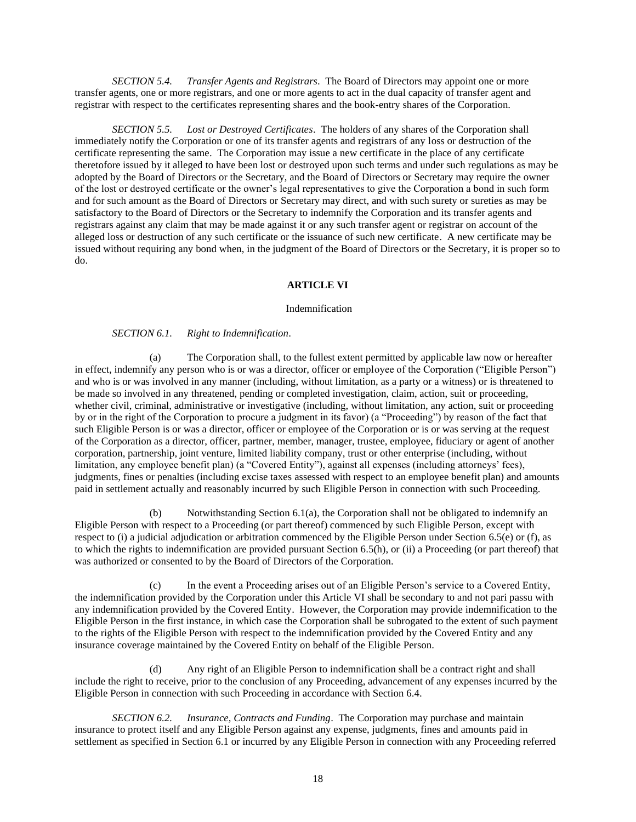<span id="page-20-0"></span>*SECTION 5.4. Transfer Agents and Registrars*. The Board of Directors may appoint one or more transfer agents, one or more registrars, and one or more agents to act in the dual capacity of transfer agent and registrar with respect to the certificates representing shares and the book-entry shares of the Corporation.

<span id="page-20-1"></span>*SECTION 5.5. Lost or Destroyed Certificates*. The holders of any shares of the Corporation shall immediately notify the Corporation or one of its transfer agents and registrars of any loss or destruction of the certificate representing the same. The Corporation may issue a new certificate in the place of any certificate theretofore issued by it alleged to have been lost or destroyed upon such terms and under such regulations as may be adopted by the Board of Directors or the Secretary, and the Board of Directors or Secretary may require the owner of the lost or destroyed certificate or the owner's legal representatives to give the Corporation a bond in such form and for such amount as the Board of Directors or Secretary may direct, and with such surety or sureties as may be satisfactory to the Board of Directors or the Secretary to indemnify the Corporation and its transfer agents and registrars against any claim that may be made against it or any such transfer agent or registrar on account of the alleged loss or destruction of any such certificate or the issuance of such new certificate. A new certificate may be issued without requiring any bond when, in the judgment of the Board of Directors or the Secretary, it is proper so to do.

## **ARTICLE VI**

#### <span id="page-20-2"></span>Indemnification

#### *SECTION 6.1. Right to Indemnification*.

<span id="page-20-3"></span>(a) The Corporation shall, to the fullest extent permitted by applicable law now or hereafter in effect, indemnify any person who is or was a director, officer or employee of the Corporation ("Eligible Person") and who is or was involved in any manner (including, without limitation, as a party or a witness) or is threatened to be made so involved in any threatened, pending or completed investigation, claim, action, suit or proceeding, whether civil, criminal, administrative or investigative (including, without limitation, any action, suit or proceeding by or in the right of the Corporation to procure a judgment in its favor) (a "Proceeding") by reason of the fact that such Eligible Person is or was a director, officer or employee of the Corporation or is or was serving at the request of the Corporation as a director, officer, partner, member, manager, trustee, employee, fiduciary or agent of another corporation, partnership, joint venture, limited liability company, trust or other enterprise (including, without limitation, any employee benefit plan) (a "Covered Entity"), against all expenses (including attorneys' fees), judgments, fines or penalties (including excise taxes assessed with respect to an employee benefit plan) and amounts paid in settlement actually and reasonably incurred by such Eligible Person in connection with such Proceeding.

(b) Notwithstanding Section 6.1(a), the Corporation shall not be obligated to indemnify an Eligible Person with respect to a Proceeding (or part thereof) commenced by such Eligible Person, except with respect to (i) a judicial adjudication or arbitration commenced by the Eligible Person under Section 6.5(e) or (f), as to which the rights to indemnification are provided pursuant Section 6.5(h), or (ii) a Proceeding (or part thereof) that was authorized or consented to by the Board of Directors of the Corporation.

In the event a Proceeding arises out of an Eligible Person's service to a Covered Entity, the indemnification provided by the Corporation under this Article VI shall be secondary to and not pari passu with any indemnification provided by the Covered Entity. However, the Corporation may provide indemnification to the Eligible Person in the first instance, in which case the Corporation shall be subrogated to the extent of such payment to the rights of the Eligible Person with respect to the indemnification provided by the Covered Entity and any insurance coverage maintained by the Covered Entity on behalf of the Eligible Person.

(d) Any right of an Eligible Person to indemnification shall be a contract right and shall include the right to receive, prior to the conclusion of any Proceeding, advancement of any expenses incurred by the Eligible Person in connection with such Proceeding in accordance with Section 6.4.

<span id="page-20-4"></span>*SECTION 6.2. Insurance, Contracts and Funding*. The Corporation may purchase and maintain insurance to protect itself and any Eligible Person against any expense, judgments, fines and amounts paid in settlement as specified in Section 6.1 or incurred by any Eligible Person in connection with any Proceeding referred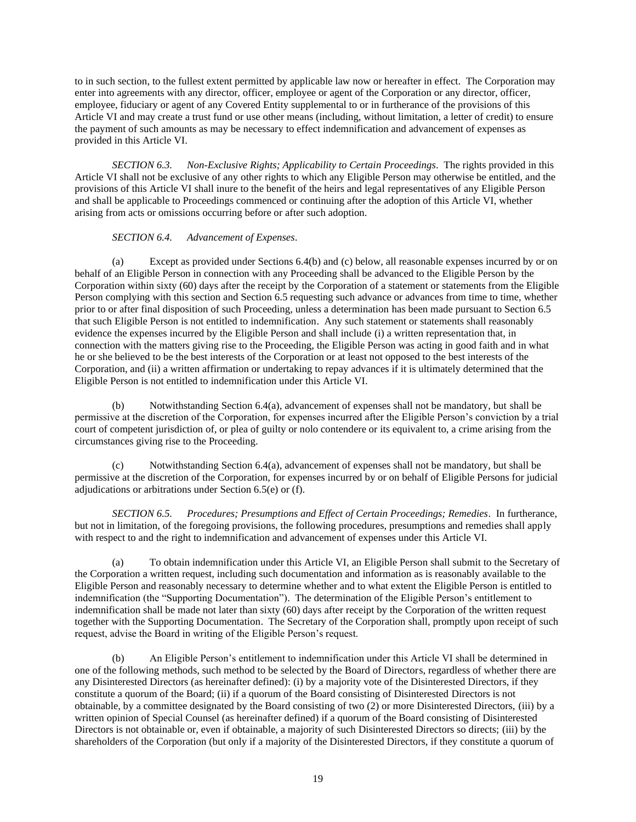to in such section, to the fullest extent permitted by applicable law now or hereafter in effect. The Corporation may enter into agreements with any director, officer, employee or agent of the Corporation or any director, officer, employee, fiduciary or agent of any Covered Entity supplemental to or in furtherance of the provisions of this Article VI and may create a trust fund or use other means (including, without limitation, a letter of credit) to ensure the payment of such amounts as may be necessary to effect indemnification and advancement of expenses as provided in this Article VI.

<span id="page-21-0"></span>*SECTION 6.3. Non-Exclusive Rights; Applicability to Certain Proceedings*. The rights provided in this Article VI shall not be exclusive of any other rights to which any Eligible Person may otherwise be entitled, and the provisions of this Article VI shall inure to the benefit of the heirs and legal representatives of any Eligible Person and shall be applicable to Proceedings commenced or continuing after the adoption of this Article VI, whether arising from acts or omissions occurring before or after such adoption.

## *SECTION 6.4. Advancement of Expenses*.

<span id="page-21-1"></span>(a) Except as provided under Sections 6.4(b) and (c) below, all reasonable expenses incurred by or on behalf of an Eligible Person in connection with any Proceeding shall be advanced to the Eligible Person by the Corporation within sixty (60) days after the receipt by the Corporation of a statement or statements from the Eligible Person complying with this section and Section 6.5 requesting such advance or advances from time to time, whether prior to or after final disposition of such Proceeding, unless a determination has been made pursuant to Section 6.5 that such Eligible Person is not entitled to indemnification. Any such statement or statements shall reasonably evidence the expenses incurred by the Eligible Person and shall include (i) a written representation that, in connection with the matters giving rise to the Proceeding, the Eligible Person was acting in good faith and in what he or she believed to be the best interests of the Corporation or at least not opposed to the best interests of the Corporation, and (ii) a written affirmation or undertaking to repay advances if it is ultimately determined that the Eligible Person is not entitled to indemnification under this Article VI.

(b) Notwithstanding Section 6.4(a), advancement of expenses shall not be mandatory, but shall be permissive at the discretion of the Corporation, for expenses incurred after the Eligible Person's conviction by a trial court of competent jurisdiction of, or plea of guilty or nolo contendere or its equivalent to, a crime arising from the circumstances giving rise to the Proceeding.

(c) Notwithstanding Section 6.4(a), advancement of expenses shall not be mandatory, but shall be permissive at the discretion of the Corporation, for expenses incurred by or on behalf of Eligible Persons for judicial adjudications or arbitrations under Section 6.5(e) or (f).

<span id="page-21-2"></span>*SECTION 6.5. Procedures; Presumptions and Effect of Certain Proceedings; Remedies*. In furtherance, but not in limitation, of the foregoing provisions, the following procedures, presumptions and remedies shall apply with respect to and the right to indemnification and advancement of expenses under this Article VI.

(a) To obtain indemnification under this Article VI, an Eligible Person shall submit to the Secretary of the Corporation a written request, including such documentation and information as is reasonably available to the Eligible Person and reasonably necessary to determine whether and to what extent the Eligible Person is entitled to indemnification (the "Supporting Documentation"). The determination of the Eligible Person's entitlement to indemnification shall be made not later than sixty (60) days after receipt by the Corporation of the written request together with the Supporting Documentation. The Secretary of the Corporation shall, promptly upon receipt of such request, advise the Board in writing of the Eligible Person's request.

(b) An Eligible Person's entitlement to indemnification under this Article VI shall be determined in one of the following methods, such method to be selected by the Board of Directors, regardless of whether there are any Disinterested Directors (as hereinafter defined): (i) by a majority vote of the Disinterested Directors, if they constitute a quorum of the Board; (ii) if a quorum of the Board consisting of Disinterested Directors is not obtainable, by a committee designated by the Board consisting of two (2) or more Disinterested Directors, (iii) by a written opinion of Special Counsel (as hereinafter defined) if a quorum of the Board consisting of Disinterested Directors is not obtainable or, even if obtainable, a majority of such Disinterested Directors so directs; (iii) by the shareholders of the Corporation (but only if a majority of the Disinterested Directors, if they constitute a quorum of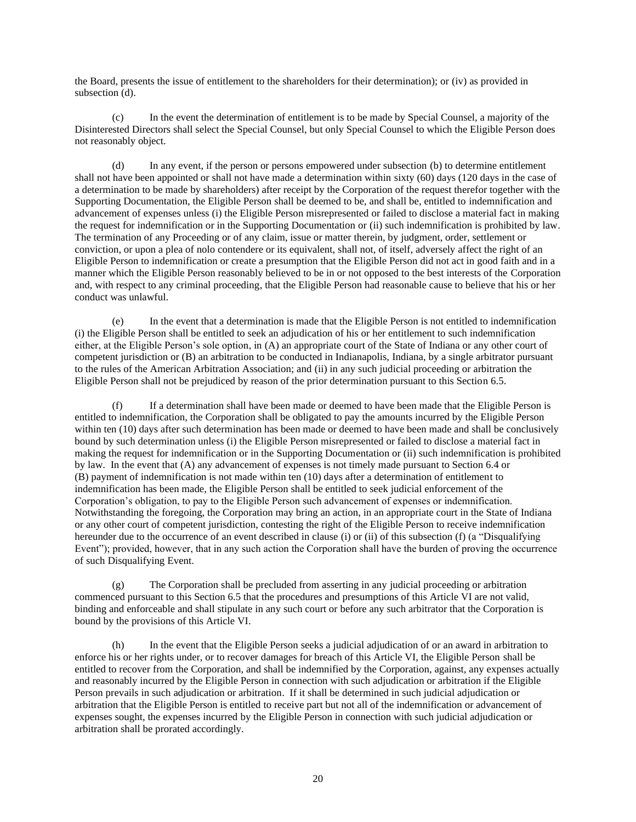the Board, presents the issue of entitlement to the shareholders for their determination); or (iv) as provided in subsection (d).

(c) In the event the determination of entitlement is to be made by Special Counsel, a majority of the Disinterested Directors shall select the Special Counsel, but only Special Counsel to which the Eligible Person does not reasonably object.

(d) In any event, if the person or persons empowered under subsection (b) to determine entitlement shall not have been appointed or shall not have made a determination within sixty (60) days (120 days in the case of a determination to be made by shareholders) after receipt by the Corporation of the request therefor together with the Supporting Documentation, the Eligible Person shall be deemed to be, and shall be, entitled to indemnification and advancement of expenses unless (i) the Eligible Person misrepresented or failed to disclose a material fact in making the request for indemnification or in the Supporting Documentation or (ii) such indemnification is prohibited by law. The termination of any Proceeding or of any claim, issue or matter therein, by judgment, order, settlement or conviction, or upon a plea of nolo contendere or its equivalent, shall not, of itself, adversely affect the right of an Eligible Person to indemnification or create a presumption that the Eligible Person did not act in good faith and in a manner which the Eligible Person reasonably believed to be in or not opposed to the best interests of the Corporation and, with respect to any criminal proceeding, that the Eligible Person had reasonable cause to believe that his or her conduct was unlawful.

(e) In the event that a determination is made that the Eligible Person is not entitled to indemnification (i) the Eligible Person shall be entitled to seek an adjudication of his or her entitlement to such indemnification either, at the Eligible Person's sole option, in (A) an appropriate court of the State of Indiana or any other court of competent jurisdiction or (B) an arbitration to be conducted in Indianapolis, Indiana, by a single arbitrator pursuant to the rules of the American Arbitration Association; and (ii) in any such judicial proceeding or arbitration the Eligible Person shall not be prejudiced by reason of the prior determination pursuant to this Section 6.5.

(f) If a determination shall have been made or deemed to have been made that the Eligible Person is entitled to indemnification, the Corporation shall be obligated to pay the amounts incurred by the Eligible Person within ten (10) days after such determination has been made or deemed to have been made and shall be conclusively bound by such determination unless (i) the Eligible Person misrepresented or failed to disclose a material fact in making the request for indemnification or in the Supporting Documentation or (ii) such indemnification is prohibited by law. In the event that (A) any advancement of expenses is not timely made pursuant to Section 6.4 or (B) payment of indemnification is not made within ten (10) days after a determination of entitlement to indemnification has been made, the Eligible Person shall be entitled to seek judicial enforcement of the Corporation's obligation, to pay to the Eligible Person such advancement of expenses or indemnification. Notwithstanding the foregoing, the Corporation may bring an action, in an appropriate court in the State of Indiana or any other court of competent jurisdiction, contesting the right of the Eligible Person to receive indemnification hereunder due to the occurrence of an event described in clause (i) or (ii) of this subsection (f) (a "Disqualifying Event"); provided, however, that in any such action the Corporation shall have the burden of proving the occurrence of such Disqualifying Event.

(g) The Corporation shall be precluded from asserting in any judicial proceeding or arbitration commenced pursuant to this Section 6.5 that the procedures and presumptions of this Article VI are not valid, binding and enforceable and shall stipulate in any such court or before any such arbitrator that the Corporation is bound by the provisions of this Article VI.

(h) In the event that the Eligible Person seeks a judicial adjudication of or an award in arbitration to enforce his or her rights under, or to recover damages for breach of this Article VI, the Eligible Person shall be entitled to recover from the Corporation, and shall be indemnified by the Corporation, against, any expenses actually and reasonably incurred by the Eligible Person in connection with such adjudication or arbitration if the Eligible Person prevails in such adjudication or arbitration. If it shall be determined in such judicial adjudication or arbitration that the Eligible Person is entitled to receive part but not all of the indemnification or advancement of expenses sought, the expenses incurred by the Eligible Person in connection with such judicial adjudication or arbitration shall be prorated accordingly.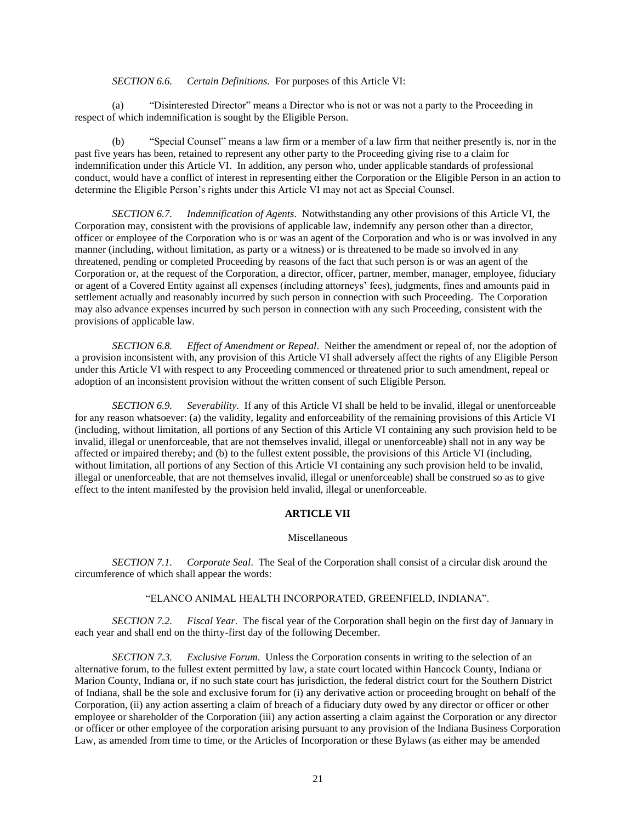*SECTION 6.6. Certain Definitions*. For purposes of this Article VI:

<span id="page-23-0"></span>(a) "Disinterested Director" means a Director who is not or was not a party to the Proceeding in respect of which indemnification is sought by the Eligible Person.

(b) "Special Counsel" means a law firm or a member of a law firm that neither presently is, nor in the past five years has been, retained to represent any other party to the Proceeding giving rise to a claim for indemnification under this Article VI. In addition, any person who, under applicable standards of professional conduct, would have a conflict of interest in representing either the Corporation or the Eligible Person in an action to determine the Eligible Person's rights under this Article VI may not act as Special Counsel.

<span id="page-23-1"></span>*SECTION 6.7. Indemnification of Agents*. Notwithstanding any other provisions of this Article VI, the Corporation may, consistent with the provisions of applicable law, indemnify any person other than a director, officer or employee of the Corporation who is or was an agent of the Corporation and who is or was involved in any manner (including, without limitation, as party or a witness) or is threatened to be made so involved in any threatened, pending or completed Proceeding by reasons of the fact that such person is or was an agent of the Corporation or, at the request of the Corporation, a director, officer, partner, member, manager, employee, fiduciary or agent of a Covered Entity against all expenses (including attorneys' fees), judgments, fines and amounts paid in settlement actually and reasonably incurred by such person in connection with such Proceeding. The Corporation may also advance expenses incurred by such person in connection with any such Proceeding, consistent with the provisions of applicable law.

<span id="page-23-2"></span>*SECTION 6.8. Effect of Amendment or Repeal*. Neither the amendment or repeal of, nor the adoption of a provision inconsistent with, any provision of this Article VI shall adversely affect the rights of any Eligible Person under this Article VI with respect to any Proceeding commenced or threatened prior to such amendment, repeal or adoption of an inconsistent provision without the written consent of such Eligible Person.

<span id="page-23-3"></span>*SECTION 6.9. Severability*. If any of this Article VI shall be held to be invalid, illegal or unenforceable for any reason whatsoever: (a) the validity, legality and enforceability of the remaining provisions of this Article VI (including, without limitation, all portions of any Section of this Article VI containing any such provision held to be invalid, illegal or unenforceable, that are not themselves invalid, illegal or unenforceable) shall not in any way be affected or impaired thereby; and (b) to the fullest extent possible, the provisions of this Article VI (including, without limitation, all portions of any Section of this Article VI containing any such provision held to be invalid, illegal or unenforceable, that are not themselves invalid, illegal or unenforceable) shall be construed so as to give effect to the intent manifested by the provision held invalid, illegal or unenforceable.

## **ARTICLE VII**

## Miscellaneous

<span id="page-23-5"></span><span id="page-23-4"></span>*SECTION 7.1. Corporate Seal*. The Seal of the Corporation shall consist of a circular disk around the circumference of which shall appear the words:

#### "ELANCO ANIMAL HEALTH INCORPORATED, GREENFIELD, INDIANA".

<span id="page-23-6"></span>*SECTION 7.2. Fiscal Year*. The fiscal year of the Corporation shall begin on the first day of January in each year and shall end on the thirty-first day of the following December.

<span id="page-23-7"></span>*SECTION 7.3. Exclusive Forum*. Unless the Corporation consents in writing to the selection of an alternative forum, to the fullest extent permitted by law, a state court located within Hancock County, Indiana or Marion County, Indiana or, if no such state court has jurisdiction, the federal district court for the Southern District of Indiana, shall be the sole and exclusive forum for (i) any derivative action or proceeding brought on behalf of the Corporation, (ii) any action asserting a claim of breach of a fiduciary duty owed by any director or officer or other employee or shareholder of the Corporation (iii) any action asserting a claim against the Corporation or any director or officer or other employee of the corporation arising pursuant to any provision of the Indiana Business Corporation Law, as amended from time to time, or the Articles of Incorporation or these Bylaws (as either may be amended